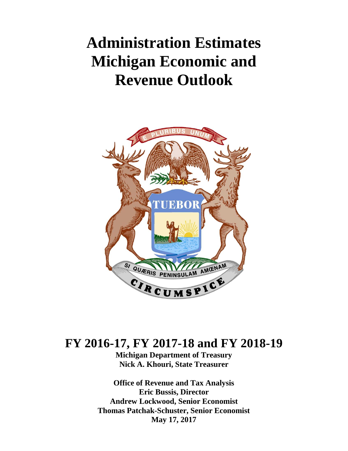# **Administration Estimates Michigan Economic and Revenue Outlook**



# **FY 2016-17, FY 2017-18 and FY 2018-19**

**Michigan Department of Treasury Nick A. Khouri, State Treasurer** 

**Office of Revenue and Tax Analysis Eric Bussis, Director Andrew Lockwood, Senior Economist Thomas Patchak-Schuster, Senior Economist May 17, 2017**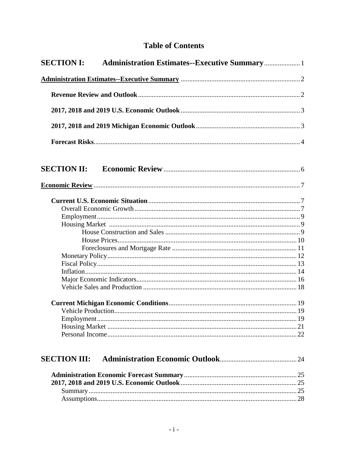## **Table of Contents**

| <b>SECTION I:</b>   |  |
|---------------------|--|
|                     |  |
|                     |  |
|                     |  |
|                     |  |
|                     |  |
|                     |  |
|                     |  |
|                     |  |
| <b>SECTION III:</b> |  |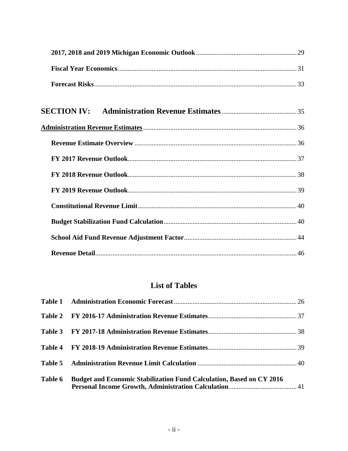# **List of Tables**

| Table 6 | Budget and Economic Stabilization Fund Calculation, Based on CY 2016 |  |
|---------|----------------------------------------------------------------------|--|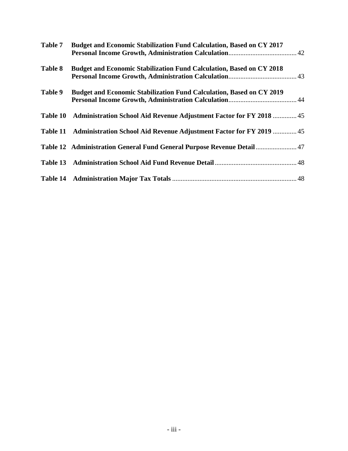| Table 7  | Budget and Economic Stabilization Fund Calculation, Based on CY 2017         |  |
|----------|------------------------------------------------------------------------------|--|
| Table 8  | <b>Budget and Economic Stabilization Fund Calculation, Based on CY 2018</b>  |  |
| Table 9  | <b>Budget and Economic Stabilization Fund Calculation, Based on CY 2019</b>  |  |
| Table 10 | <b>Administration School Aid Revenue Adjustment Factor for FY 2018  45</b>   |  |
|          | Table 11 Administration School Aid Revenue Adjustment Factor for FY 2019  45 |  |
|          | Table 12 Administration General Fund General Purpose Revenue Detail  47      |  |
|          |                                                                              |  |
|          |                                                                              |  |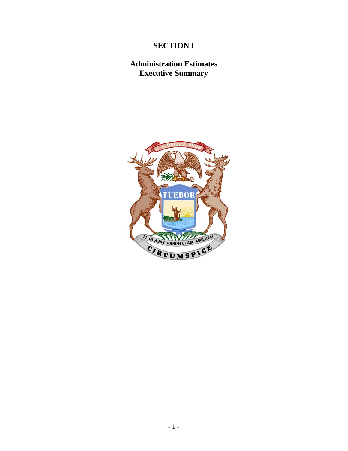# **SECTION I**

# **Administration Estimates Executive Summary**

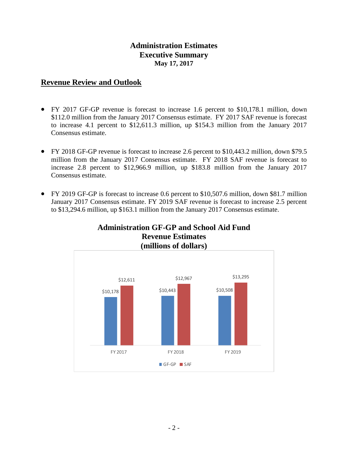## **Administration Estimates Executive Summary May 17, 2017**

## **Revenue Review and Outlook**

- FY 2017 GF-GP revenue is forecast to increase 1.6 percent to \$10,178.1 million, down \$112.0 million from the January 2017 Consensus estimate. FY 2017 SAF revenue is forecast to increase 4.1 percent to \$12,611.3 million, up \$154.3 million from the January 2017 Consensus estimate.
- FY 2018 GF-GP revenue is forecast to increase 2.6 percent to \$10,443.2 million, down \$79.5 million from the January 2017 Consensus estimate. FY 2018 SAF revenue is forecast to increase 2.8 percent to \$12,966.9 million, up \$183.8 million from the January 2017 Consensus estimate.
- FY 2019 GF-GP is forecast to increase 0.6 percent to \$10,507.6 million, down \$81.7 million January 2017 Consensus estimate. FY 2019 SAF revenue is forecast to increase 2.5 percent to \$13,294.6 million, up \$163.1 million from the January 2017 Consensus estimate.



# **Administration GF-GP and School Aid Fund Revenue Estimates**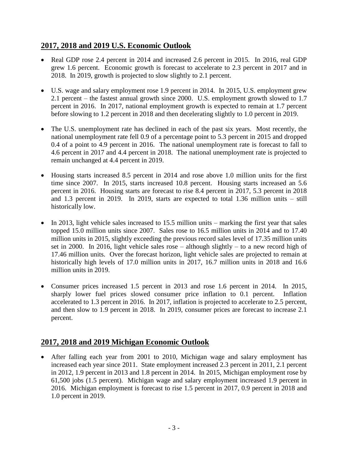## **2017, 2018 and 2019 U.S. Economic Outlook**

- Real GDP rose 2.4 percent in 2014 and increased 2.6 percent in 2015. In 2016, real GDP grew 1.6 percent. Economic growth is forecast to accelerate to 2.3 percent in 2017 and in 2018. In 2019, growth is projected to slow slightly to 2.1 percent.
- U.S. wage and salary employment rose 1.9 percent in 2014. In 2015, U.S. employment grew 2.1 percent – the fastest annual growth since 2000. U.S. employment growth slowed to 1.7 percent in 2016. In 2017, national employment growth is expected to remain at 1.7 percent before slowing to 1.2 percent in 2018 and then decelerating slightly to 1.0 percent in 2019.
- The U.S. unemployment rate has declined in each of the past six years. Most recently, the national unemployment rate fell 0.9 of a percentage point to 5.3 percent in 2015 and dropped 0.4 of a point to 4.9 percent in 2016. The national unemployment rate is forecast to fall to 4.6 percent in 2017 and 4.4 percent in 2018. The national unemployment rate is projected to remain unchanged at 4.4 percent in 2019.
- Housing starts increased 8.5 percent in 2014 and rose above 1.0 million units for the first time since 2007. In 2015, starts increased 10.8 percent. Housing starts increased an 5.6 percent in 2016. Housing starts are forecast to rise 8.4 percent in 2017, 5.3 percent in 2018 and 1.3 percent in 2019. In 2019, starts are expected to total 1.36 million units – still historically low.
- In 2013, light vehicle sales increased to 15.5 million units marking the first year that sales topped 15.0 million units since 2007. Sales rose to 16.5 million units in 2014 and to 17.40 million units in 2015, slightly exceeding the previous record sales level of 17.35 million units set in 2000. In 2016, light vehicle sales rose – although slightly – to a new record high of 17.46 million units. Over the forecast horizon, light vehicle sales are projected to remain at historically high levels of 17.0 million units in 2017, 16.7 million units in 2018 and 16.6 million units in 2019.
- Consumer prices increased 1.5 percent in 2013 and rose 1.6 percent in 2014. In 2015, sharply lower fuel prices slowed consumer price inflation to 0.1 percent. Inflation accelerated to 1.3 percent in 2016. In 2017, inflation is projected to accelerate to 2.5 percent, and then slow to 1.9 percent in 2018. In 2019, consumer prices are forecast to increase 2.1 percent.

# **2017, 2018 and 2019 Michigan Economic Outlook**

 After falling each year from 2001 to 2010, Michigan wage and salary employment has increased each year since 2011. State employment increased 2.3 percent in 2011, 2.1 percent in 2012, 1.9 percent in 2013 and 1.8 percent in 2014. In 2015, Michigan employment rose by 61,500 jobs (1.5 percent). Michigan wage and salary employment increased 1.9 percent in 2016. Michigan employment is forecast to rise 1.5 percent in 2017, 0.9 percent in 2018 and 1.0 percent in 2019.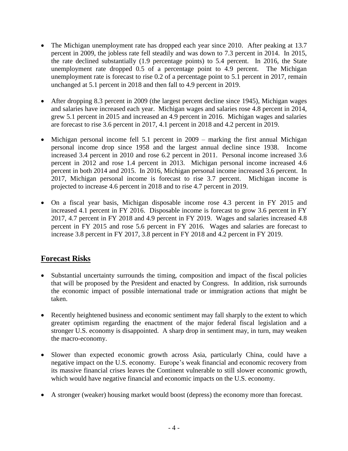- The Michigan unemployment rate has dropped each year since 2010. After peaking at 13.7 percent in 2009, the jobless rate fell steadily and was down to 7.3 percent in 2014. In 2015, the rate declined substantially (1.9 percentage points) to 5.4 percent. In 2016, the State unemployment rate dropped 0.5 of a percentage point to 4.9 percent. The Michigan unemployment rate is forecast to rise 0.2 of a percentage point to 5.1 percent in 2017, remain unchanged at 5.1 percent in 2018 and then fall to 4.9 percent in 2019.
- After dropping 8.3 percent in 2009 (the largest percent decline since 1945), Michigan wages and salaries have increased each year. Michigan wages and salaries rose 4.8 percent in 2014, grew 5.1 percent in 2015 and increased an 4.9 percent in 2016. Michigan wages and salaries are forecast to rise 3.6 percent in 2017, 4.1 percent in 2018 and 4.2 percent in 2019.
- Michigan personal income fell 5.1 percent in 2009 marking the first annual Michigan personal income drop since 1958 and the largest annual decline since 1938. Income increased 3.4 percent in 2010 and rose 6.2 percent in 2011. Personal income increased 3.6 percent in 2012 and rose 1.4 percent in 2013. Michigan personal income increased 4.6 percent in both 2014 and 2015. In 2016, Michigan personal income increased 3.6 percent. In 2017, Michigan personal income is forecast to rise 3.7 percent. Michigan income is projected to increase 4.6 percent in 2018 and to rise 4.7 percent in 2019.
- On a fiscal year basis, Michigan disposable income rose 4.3 percent in FY 2015 and increased 4.1 percent in FY 2016. Disposable income is forecast to grow 3.6 percent in FY 2017, 4.7 percent in FY 2018 and 4.9 percent in FY 2019. Wages and salaries increased 4.8 percent in FY 2015 and rose 5.6 percent in FY 2016. Wages and salaries are forecast to increase 3.8 percent in FY 2017, 3.8 percent in FY 2018 and 4.2 percent in FY 2019.

## **Forecast Risks**

- Substantial uncertainty surrounds the timing, composition and impact of the fiscal policies that will be proposed by the President and enacted by Congress. In addition, risk surrounds the economic impact of possible international trade or immigration actions that might be taken.
- Recently heightened business and economic sentiment may fall sharply to the extent to which greater optimism regarding the enactment of the major federal fiscal legislation and a stronger U.S. economy is disappointed. A sharp drop in sentiment may, in turn, may weaken the macro-economy.
- Slower than expected economic growth across Asia, particularly China, could have a negative impact on the U.S. economy. Europe's weak financial and economic recovery from its massive financial crises leaves the Continent vulnerable to still slower economic growth, which would have negative financial and economic impacts on the U.S. economy.
- A stronger (weaker) housing market would boost (depress) the economy more than forecast.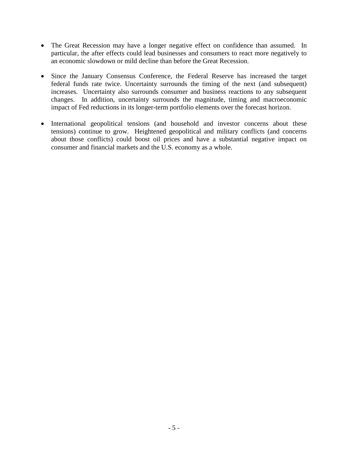- The Great Recession may have a longer negative effect on confidence than assumed. In particular, the after effects could lead businesses and consumers to react more negatively to an economic slowdown or mild decline than before the Great Recession.
- Since the January Consensus Conference, the Federal Reserve has increased the target federal funds rate twice. Uncertainty surrounds the timing of the next (and subsequent) increases. Uncertainty also surrounds consumer and business reactions to any subsequent changes. In addition, uncertainty surrounds the magnitude, timing and macroeconomic impact of Fed reductions in its longer-term portfolio elements over the forecast horizon.
- International geopolitical tensions (and household and investor concerns about these tensions) continue to grow. Heightened geopolitical and military conflicts (and concerns about those conflicts) could boost oil prices and have a substantial negative impact on consumer and financial markets and the U.S. economy as a whole.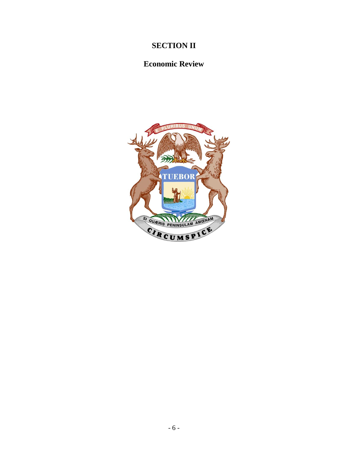# **SECTION II**

# **Economic Review**

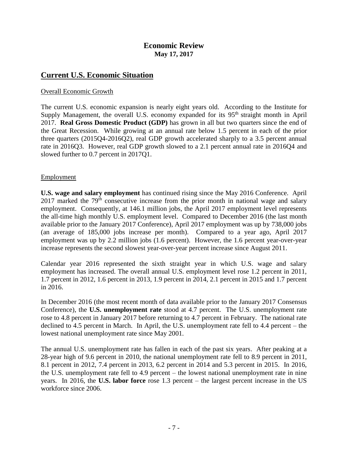#### **Economic Review May 17, 2017**

#### **Current U.S. Economic Situation**

#### Overall Economic Growth

The current U.S. economic expansion is nearly eight years old. According to the Institute for Supply Management, the overall U.S. economy expanded for its 95<sup>th</sup> straight month in April 2017. **Real Gross Domestic Product (GDP)** has grown in all but two quarters since the end of the Great Recession. While growing at an annual rate below 1.5 percent in each of the prior three quarters (2015Q4-2016Q2), real GDP growth accelerated sharply to a 3.5 percent annual rate in 2016Q3. However, real GDP growth slowed to a 2.1 percent annual rate in 2016Q4 and slowed further to 0.7 percent in 2017Q1.

#### Employment

**U.S. wage and salary employment** has continued rising since the May 2016 Conference. April 2017 marked the  $79<sup>th</sup>$  consecutive increase from the prior month in national wage and salary employment. Consequently, at 146.1 million jobs, the April 2017 employment level represents the all-time high monthly U.S. employment level. Compared to December 2016 (the last month available prior to the January 2017 Conference), April 2017 employment was up by 738,000 jobs (an average of 185,000 jobs increase per month). Compared to a year ago, April 2017 employment was up by 2.2 million jobs (1.6 percent). However, the 1.6 percent year-over-year increase represents the second slowest year-over-year percent increase since August 2011.

Calendar year 2016 represented the sixth straight year in which U.S. wage and salary employment has increased. The overall annual U.S. employment level rose 1.2 percent in 2011, 1.7 percent in 2012, 1.6 percent in 2013, 1.9 percent in 2014, 2.1 percent in 2015 and 1.7 percent in 2016.

In December 2016 (the most recent month of data available prior to the January 2017 Consensus Conference), the **U.S. unemployment rate** stood at 4.7 percent. The U.S. unemployment rate rose to 4.8 percent in January 2017 before returning to 4.7 percent in February. The national rate declined to 4.5 percent in March. In April, the U.S. unemployment rate fell to 4.4 percent – the lowest national unemployment rate since May 2001.

The annual U.S. unemployment rate has fallen in each of the past six years. After peaking at a 28-year high of 9.6 percent in 2010, the national unemployment rate fell to 8.9 percent in 2011, 8.1 percent in 2012, 7.4 percent in 2013, 6.2 percent in 2014 and 5.3 percent in 2015. In 2016, the U.S. unemployment rate fell to 4.9 percent – the lowest national unemployment rate in nine years. In 2016, the **U.S. labor force** rose 1.3 percent – the largest percent increase in the US workforce since 2006.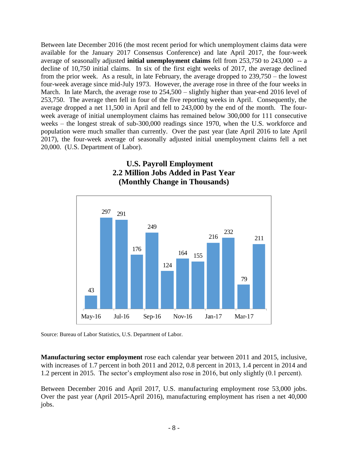Between late December 2016 (the most recent period for which unemployment claims data were available for the January 2017 Consensus Conference) and late April 2017, the four-week average of seasonally adjusted **initial unemployment claims** fell from 253,750 to 243,000 -- a decline of 10,750 initial claims. In six of the first eight weeks of 2017, the average declined from the prior week. As a result, in late February, the average dropped to 239,750 – the lowest four-week average since mid-July 1973. However, the average rose in three of the four weeks in March. In late March, the average rose to 254,500 – slightly higher than year-end 2016 level of 253,750. The average then fell in four of the five reporting weeks in April. Consequently, the average dropped a net 11,500 in April and fell to 243,000 by the end of the month. The fourweek average of initial unemployment claims has remained below 300,000 for 111 consecutive weeks – the longest streak of sub-300,000 readings since 1970, when the U.S. workforce and population were much smaller than currently. Over the past year (late April 2016 to late April 2017), the four-week average of seasonally adjusted initial unemployment claims fell a net 20,000. (U.S. Department of Labor).

## **U.S. Payroll Employment 2.2 Million Jobs Added in Past Year (Monthly Change in Thousands)**



Source: Bureau of Labor Statistics, U.S. Department of Labor.

**Manufacturing sector employment** rose each calendar year between 2011 and 2015, inclusive, with increases of 1.7 percent in both 2011 and 2012, 0.8 percent in 2013, 1.4 percent in 2014 and 1.2 percent in 2015. The sector's employment also rose in 2016, but only slightly (0.1 percent).

Between December 2016 and April 2017, U.S. manufacturing employment rose 53,000 jobs. Over the past year (April 2015-April 2016), manufacturing employment has risen a net 40,000 jobs.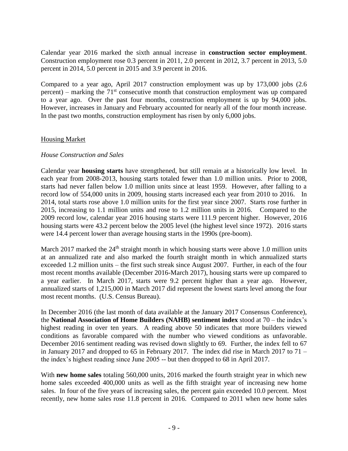Calendar year 2016 marked the sixth annual increase in **construction sector employment**. Construction employment rose 0.3 percent in 2011, 2.0 percent in 2012, 3.7 percent in 2013, 5.0 percent in 2014, 5.0 percent in 2015 and 3.9 percent in 2016.

Compared to a year ago, April 2017 construction employment was up by 173,000 jobs (2.6 percent) – marking the  $71<sup>st</sup>$  consecutive month that construction employment was up compared to a year ago. Over the past four months, construction employment is up by 94,000 jobs. However, increases in January and February accounted for nearly all of the four month increase. In the past two months, construction employment has risen by only 6,000 jobs.

#### Housing Market

#### *House Construction and Sales*

Calendar year **housing starts** have strengthened, but still remain at a historically low level. In each year from 2008-2013, housing starts totaled fewer than 1.0 million units. Prior to 2008, starts had never fallen below 1.0 million units since at least 1959. However, after falling to a record low of 554,000 units in 2009, housing starts increased each year from 2010 to 2016. In 2014, total starts rose above 1.0 million units for the first year since 2007. Starts rose further in 2015, increasing to 1.1 million units and rose to 1.2 million units in 2016. Compared to the 2009 record low, calendar year 2016 housing starts were 111.9 percent higher. However, 2016 housing starts were 43.2 percent below the 2005 level (the highest level since 1972). 2016 starts were 14.4 percent lower than average housing starts in the 1990s (pre-boom).

March 2017 marked the  $24<sup>th</sup>$  straight month in which housing starts were above 1.0 million units at an annualized rate and also marked the fourth straight month in which annualized starts exceeded 1.2 million units – the first such streak since August 2007. Further, in each of the four most recent months available (December 2016-March 2017), housing starts were up compared to a year earlier. In March 2017, starts were 9.2 percent higher than a year ago. However, annualized starts of 1,215,000 in March 2017 did represent the lowest starts level among the four most recent months. (U.S. Census Bureau).

In December 2016 (the last month of data available at the January 2017 Consensus Conference), the **National Association of Home Builders (NAHB) sentiment index** stood at 70 – the index's highest reading in over ten years. A reading above 50 indicates that more builders viewed conditions as favorable compared with the number who viewed conditions as unfavorable. December 2016 sentiment reading was revised down slightly to 69. Further, the index fell to 67 in January 2017 and dropped to 65 in February 2017. The index did rise in March 2017 to 71 – the index's highest reading since June 2005 -- but then dropped to 68 in April 2017.

With **new home sales** totaling 560,000 units, 2016 marked the fourth straight year in which new home sales exceeded 400,000 units as well as the fifth straight year of increasing new home sales. In four of the five years of increasing sales, the percent gain exceeded 10.0 percent. Most recently, new home sales rose 11.8 percent in 2016. Compared to 2011 when new home sales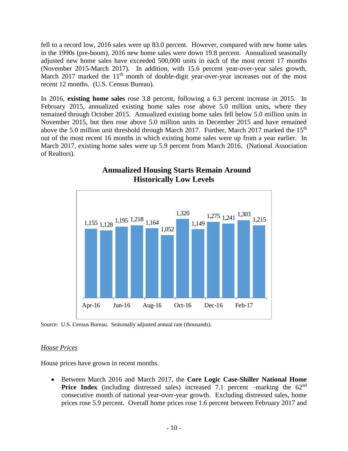fell to a record low, 2016 sales were up 83.0 percent. However, compared with new home sales in the 1990s (pre-boom), 2016 new home sales were down 19.8 percent. Annualized seasonally adjusted new home sales have exceeded 500,000 units in each of the most recent 17 months (November 2015-March 2017). In addition, with 15.6 percent year-over-year sales growth, March 2017 marked the 11<sup>th</sup> month of double-digit year-over-year increases out of the most recent 12 months. (U.S. Census Bureau).

In 2016, **existing home sales** rose 3.8 percent, following a 6.3 percent increase in 2015. In February 2015, annualized existing home sales rose above 5.0 million units, where they remained through October 2015. Annualized existing home sales fell below 5.0 million units in November 2015, but then rose above 5.0 million units in December 2015 and have remained above the 5.0 million unit threshold through March 2017. Further, March 2017 marked the  $15<sup>th</sup>$ out of the most recent 16 months in which existing home sales were up from a year earlier. In March 2017, existing home sales were up 5.9 percent from March 2016. (National Association of Realtors).



## **Annualized Housing Starts Remain Around Historically Low Levels**

Source: U.S. Census Bureau. Seasonally adjusted annual rate (thousands).

#### *House Prices*

House prices have grown in recent months.

 Between March 2016 and March 2017, the **Core Logic Case-Shiller National Home Price Index** (including distressed sales) increased 7.1 percent –marking the 62<sup>nd</sup> consecutive month of national year-over-year growth. Excluding distressed sales, home prices rose 5.9 percent. Overall home prices rose 1.6 percent between February 2017 and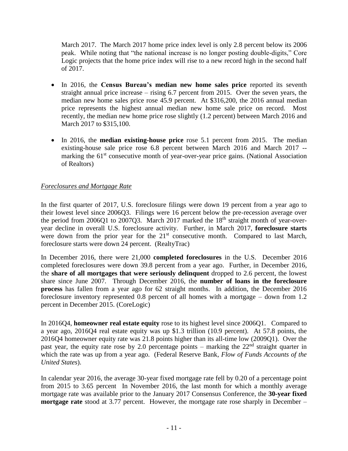March 2017. The March 2017 home price index level is only 2.8 percent below its 2006 peak. While noting that "the national increase is no longer posting double-digits," Core Logic projects that the home price index will rise to a new record high in the second half of 2017.

- In 2016, the **Census Bureau's median new home sales price** reported its seventh straight annual price increase – rising 6.7 percent from 2015. Over the seven years, the median new home sales price rose 45.9 percent. At \$316,200, the 2016 annual median price represents the highest annual median new home sale price on record. Most recently, the median new home price rose slightly (1.2 percent) between March 2016 and March 2017 to \$315,100.
- In 2016, the **median existing-house price** rose 5.1 percent from 2015. The median existing-house sale price rose 6.8 percent between March 2016 and March 2017 - marking the  $61<sup>st</sup>$  consecutive month of year-over-year price gains. (National Association of Realtors)

#### *Foreclosures and Mortgage Rate*

In the first quarter of 2017, U.S. foreclosure filings were down 19 percent from a year ago to their lowest level since 2006Q3. Filings were 16 percent below the pre-recession average over the period from 2006Q1 to 2007Q3. March 2017 marked the  $18<sup>th</sup>$  straight month of year-overyear decline in overall U.S. foreclosure activity. Further, in March 2017, **foreclosure starts**  were down from the prior year for the  $21<sup>st</sup>$  consecutive month. Compared to last March, foreclosure starts were down 24 percent. (RealtyTrac)

In December 2016, there were 21,000 **completed foreclosures** in the U.S. December 2016 completed foreclosures were down 39.8 percent from a year ago. Further, in December 2016, the **share of all mortgages that were seriously delinquent** dropped to 2.6 percent, the lowest share since June 2007. Through December 2016, the **number of loans in the foreclosure process** has fallen from a year ago for 62 straight months. In addition, the December 2016 foreclosure inventory represented 0.8 percent of all homes with a mortgage – down from 1.2 percent in December 2015. (CoreLogic)

In 2016Q4, **homeowner real estate equity** rose to its highest level since 2006Q1. Compared to a year ago, 2016Q4 real estate equity was up \$1.3 trillion (10.9 percent). At 57.8 points, the 2016Q4 homeowner equity rate was 21.8 points higher than its all-time low (2009Q1). Over the past year, the equity rate rose by 2.0 percentage points – marking the  $22<sup>nd</sup>$  straight quarter in which the rate was up from a year ago. (Federal Reserve Bank, *Flow of Funds Accounts of the United States*).

In calendar year 2016, the average 30-year fixed mortgage rate fell by 0.20 of a percentage point from 2015 to 3.65 percent In November 2016, the last month for which a monthly average mortgage rate was available prior to the January 2017 Consensus Conference, the **30-year fixed mortgage rate** stood at 3.77 percent. However, the mortgage rate rose sharply in December –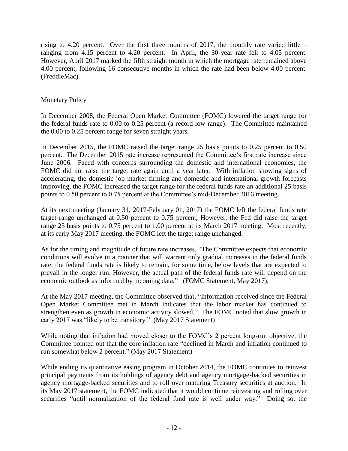rising to 4.20 percent. Over the first three months of 2017, the monthly rate varied little  $$ ranging from 4.15 percent to 4.20 percent. In April, the 30-year rate fell to 4.05 percent. However, April 2017 marked the fifth straight month in which the mortgage rate remained above 4.00 percent, following 16 consecutive months in which the rate had been below 4.00 percent. (FreddieMac).

#### Monetary Policy

In December 2008, the Federal Open Market Committee (FOMC) lowered the target range for the federal funds rate to 0.00 to 0.25 percent (a record low range). The Committee maintained the 0.00 to 0.25 percent range for seven straight years.

In December 2015, the FOMC raised the target range 25 basis points to 0.25 percent to 0.50 percent. The December 2015 rate increase represented the Committee's first rate increase since June 2006. Faced with concerns surrounding the domestic and international economies, the FOMC did not raise the target rate again until a year later. With inflation showing signs of accelerating, the domestic job market firming and domestic and international growth forecasts improving, the FOMC increased the target range for the federal funds rate an additional 25 basis points to 0.50 percent to 0.75 percent at the Committee's mid-December 2016 meeting.

At its next meeting (January 31, 2017-February 01, 2017) the FOMC left the federal funds rate target range unchanged at 0.50 percent to 0.75 percent, However, the Fed did raise the target range 25 basis points to 0.75 percent to 1.00 percent at its March 2017 meeting. Most recently, at its early May 2017 meeting, the FOMC left the target range unchanged.

As for the timing and magnitude of future rate increases, "The Committee expects that economic conditions will evolve in a manner that will warrant only gradual increases in the federal funds rate; the federal funds rate is likely to remain, for some time, below levels that are expected to prevail in the longer run. However, the actual path of the federal funds rate will depend on the economic outlook as informed by incoming data." (FOMC Statement, May 2017).

At the May 2017 meeting, the Committee observed that, "Information received since the Federal Open Market Committee met in March indicates that the labor market has continued to strengthen even as growth in economic activity slowed." The FOMC noted that slow growth in early 2017 was "likely to be transitory." (May 2017 Statement)

While noting that inflation had moved closer to the FOMC's 2 percent long-run objective, the Committee pointed out that the core inflation rate "declined in March and inflation continued to run somewhat below 2 percent." (May 2017 Statement)

While ending its quantitative easing program in October 2014, the FOMC continues to reinvest principal payments from its holdings of agency debt and agency mortgage-backed securities in agency mortgage-backed securities and to roll over maturing Treasury securities at auction. In its May 2017 statement, the FOMC indicated that it would continue reinvesting and rolling over securities "until normalization of the federal fund rate is well under way." Doing so, the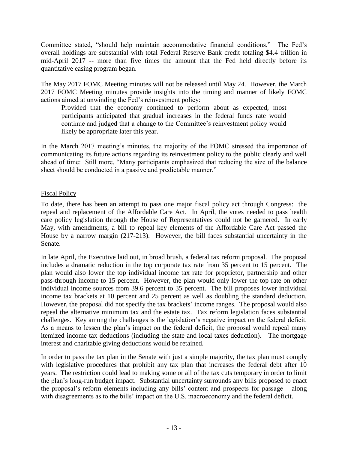Committee stated, "should help maintain accommodative financial conditions." The Fed's overall holdings are substantial with total Federal Reserve Bank credit totaling \$4.4 trillion in mid-April 2017 -- more than five times the amount that the Fed held directly before its quantitative easing program began.

The May 2017 FOMC Meeting minutes will not be released until May 24. However, the March 2017 FOMC Meeting minutes provide insights into the timing and manner of likely FOMC actions aimed at unwinding the Fed's reinvestment policy:

Provided that the economy continued to perform about as expected, most participants anticipated that gradual increases in the federal funds rate would continue and judged that a change to the Committee's reinvestment policy would likely be appropriate later this year.

In the March 2017 meeting's minutes, the majority of the FOMC stressed the importance of communicating its future actions regarding its reinvestment policy to the public clearly and well ahead of time: Still more, "Many participants emphasized that reducing the size of the balance sheet should be conducted in a passive and predictable manner."

#### Fiscal Policy

To date, there has been an attempt to pass one major fiscal policy act through Congress: the repeal and replacement of the Affordable Care Act. In April, the votes needed to pass health care policy legislation through the House of Representatives could not be garnered. In early May, with amendments, a bill to repeal key elements of the Affordable Care Act passed the House by a narrow margin (217-213). However, the bill faces substantial uncertainty in the Senate.

In late April, the Executive laid out, in broad brush, a federal tax reform proposal. The proposal includes a dramatic reduction in the top corporate tax rate from 35 percent to 15 percent. The plan would also lower the top individual income tax rate for proprietor, partnership and other pass-through income to 15 percent. However, the plan would only lower the top rate on other individual income sources from 39.6 percent to 35 percent. The bill proposes lower individual income tax brackets at 10 percent and 25 percent as well as doubling the standard deduction. However, the proposal did not specify the tax brackets' income ranges. The proposal would also repeal the alternative minimum tax and the estate tax. Tax reform legislation faces substantial challenges. Key among the challenges is the legislation's negative impact on the federal deficit. As a means to lessen the plan's impact on the federal deficit, the proposal would repeal many itemized income tax deductions (including the state and local taxes deduction). The mortgage interest and charitable giving deductions would be retained.

In order to pass the tax plan in the Senate with just a simple majority, the tax plan must comply with legislative procedures that prohibit any tax plan that increases the federal debt after 10 years. The restriction could lead to making some or all of the tax cuts temporary in order to limit the plan's long-run budget impact. Substantial uncertainty surrounds any bills proposed to enact the proposal's reform elements including any bills' content and prospects for passage – along with disagreements as to the bills' impact on the U.S. macroeconomy and the federal deficit.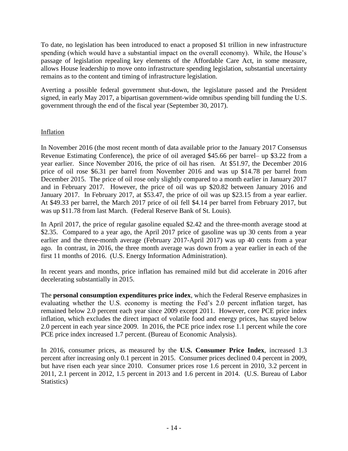To date, no legislation has been introduced to enact a proposed \$1 trillion in new infrastructure spending (which would have a substantial impact on the overall economy). While, the House's passage of legislation repealing key elements of the Affordable Care Act, in some measure, allows House leadership to move onto infrastructure spending legislation, substantial uncertainty remains as to the content and timing of infrastructure legislation.

Averting a possible federal government shut-down, the legislature passed and the President signed, in early May 2017, a bipartisan government-wide omnibus spending bill funding the U.S. government through the end of the fiscal year (September 30, 2017).

#### Inflation

In November 2016 (the most recent month of data available prior to the January 2017 Consensus Revenue Estimating Conference), the price of oil averaged \$45.66 per barrel– up \$3.22 from a year earlier. Since November 2016, the price of oil has risen. At \$51.97, the December 2016 price of oil rose \$6.31 per barrel from November 2016 and was up \$14.78 per barrel from December 2015. The price of oil rose only slightly compared to a month earlier in January 2017 and in February 2017. However, the price of oil was up \$20.82 between January 2016 and January 2017. In February 2017, at \$53.47, the price of oil was up \$23.15 from a year earlier. At \$49.33 per barrel, the March 2017 price of oil fell \$4.14 per barrel from February 2017, but was up \$11.78 from last March. (Federal Reserve Bank of St. Louis).

In April 2017, the price of regular gasoline equaled \$2.42 and the three-month average stood at \$2.35. Compared to a year ago, the April 2017 price of gasoline was up 30 cents from a year earlier and the three-month average (February 2017-April 2017) was up 40 cents from a year ago. In contrast, in 2016, the three month average was down from a year earlier in each of the first 11 months of 2016. (U.S. Energy Information Administration).

In recent years and months, price inflation has remained mild but did accelerate in 2016 after decelerating substantially in 2015.

The **personal consumption expenditures price index**, which the Federal Reserve emphasizes in evaluating whether the U.S. economy is meeting the Fed's 2.0 percent inflation target, has remained below 2.0 percent each year since 2009 except 2011. However, core PCE price index inflation, which excludes the direct impact of volatile food and energy prices, has stayed below 2.0 percent in each year since 2009. In 2016, the PCE price index rose 1.1 percent while the core PCE price index increased 1.7 percent. (Bureau of Economic Analysis).

In 2016, consumer prices, as measured by the **U.S. Consumer Price Index**, increased 1.3 percent after increasing only 0.1 percent in 2015. Consumer prices declined 0.4 percent in 2009, but have risen each year since 2010. Consumer prices rose 1.6 percent in 2010, 3.2 percent in 2011, 2.1 percent in 2012, 1.5 percent in 2013 and 1.6 percent in 2014. (U.S. Bureau of Labor Statistics)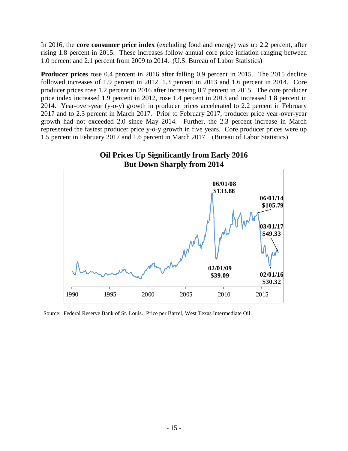In 2016, the **core consumer price index** (excluding food and energy) was up 2.2 percent, after rising 1.8 percent in 2015. These increases follow annual core price inflation ranging between 1.0 percent and 2.1 percent from 2009 to 2014. (U.S. Bureau of Labor Statistics)

**Producer prices** rose 0.4 percent in 2016 after falling 0.9 percent in 2015. The 2015 decline followed increases of 1.9 percent in 2012, 1.3 percent in 2013 and 1.6 percent in 2014. Core producer prices rose 1.2 percent in 2016 after increasing 0.7 percent in 2015. The core producer price index increased 1.9 percent in 2012, rose 1.4 percent in 2013 and increased 1.8 percent in 2014. Year-over-year (y-o-y) growth in producer prices accelerated to 2.2 percent in February 2017 and to 2.3 percent in March 2017. Prior to February 2017, producer price year-over-year growth had not exceeded 2.0 since May 2014. Further, the 2.3 percent increase in March represented the fastest producer price y-o-y growth in five years. Core producer prices were up 1.5 percent in February 2017 and 1.6 percent in March 2017. (Bureau of Labor Statistics)



Source: Federal Reserve Bank of St. Louis. Price per Barrel, West Texas Intermediate Oil.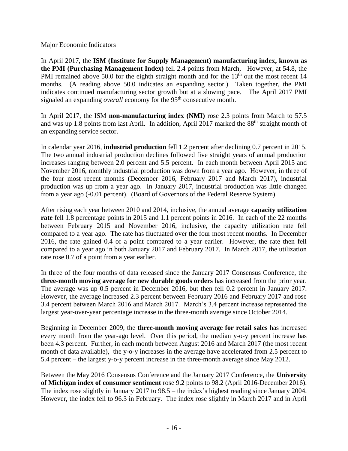#### Major Economic Indicators

In April 2017, the **ISM (Institute for Supply Management) manufacturing index, known as the PMI (Purchasing Management Index)** fell 2.4 points from March, However, at 54.8, the PMI remained above 50.0 for the eighth straight month and for the  $13<sup>th</sup>$  out the most recent 14 months. (A reading above 50.0 indicates an expanding sector.) Taken together, the PMI indicates continued manufacturing sector growth but at a slowing pace. The April 2017 PMI signaled an expanding *overall* economy for the 95<sup>th</sup> consecutive month.

In April 2017, the ISM **non-manufacturing index (NMI)** rose 2.3 points from March to 57.5 and was up 1.8 points from last April. In addition, April 2017 marked the 88<sup>th</sup> straight month of an expanding service sector.

In calendar year 2016, **industrial production** fell 1.2 percent after declining 0.7 percent in 2015. The two annual industrial production declines followed five straight years of annual production increases ranging between 2.0 percent and 5.5 percent. In each month between April 2015 and November 2016, monthly industrial production was down from a year ago. However, in three of the four most recent months (December 2016, February 2017 and March 2017), industrial production was up from a year ago. In January 2017, industrial production was little changed from a year ago (-0.01 percent). (Board of Governors of the Federal Reserve System).

After rising each year between 2010 and 2014, inclusive, the annual average **capacity utilization rate** fell 1.8 percentage points in 2015 and 1.1 percent points in 2016. In each of the 22 months between February 2015 and November 2016, inclusive, the capacity utilization rate fell compared to a year ago. The rate has fluctuated over the four most recent months. In December 2016, the rate gained 0.4 of a point compared to a year earlier. However, the rate then fell compared to a year ago in both January 2017 and February 2017. In March 2017, the utilization rate rose 0.7 of a point from a year earlier.

In three of the four months of data released since the January 2017 Consensus Conference, the **three-month moving average for new durable goods orders** has increased from the prior year. The average was up 0.5 percent in December 2016, but then fell 0.2 percent in January 2017. However, the average increased 2.3 percent between February 2016 and February 2017 and rose 3.4 percent between March 2016 and March 2017. March's 3.4 percent increase represented the largest year-over-year percentage increase in the three-month average since October 2014.

Beginning in December 2009, the **three-month moving average for retail sales** has increased every month from the year-ago level. Over this period, the median y-o-y percent increase has been 4.3 percent. Further, in each month between August 2016 and March 2017 (the most recent month of data available), the y-o-y increases in the average have accelerated from 2.5 percent to 5.4 percent – the largest y-o-y percent increase in the three-month average since May 2012.

Between the May 2016 Consensus Conference and the January 2017 Conference, the **University of Michigan index of consumer sentiment** rose 9.2 points to 98.2 (April 2016-December 2016). The index rose slightly in January 2017 to 98.5 – the index's highest reading since January 2004. However, the index fell to 96.3 in February. The index rose slightly in March 2017 and in April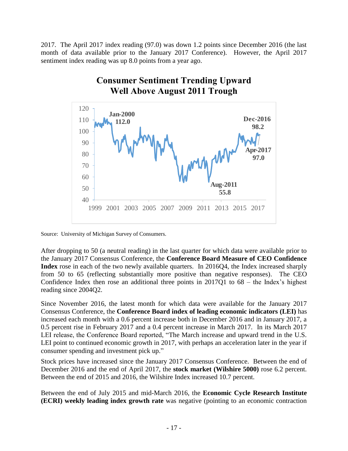2017. The April 2017 index reading (97.0) was down 1.2 points since December 2016 (the last month of data available prior to the January 2017 Conference). However, the April 2017 sentiment index reading was up 8.0 points from a year ago.



Source: University of Michigan Survey of Consumers.

 After dropping to 50 (a neutral reading) in the last quarter for which data were available prior to the January 2017 Consensus Conference, the **Conference Board Measure of CEO Confidence Index** rose in each of the two newly available quarters. In 2016Q4, the Index increased sharply from 50 to 65 (reflecting substantially more positive than negative responses). The CEO Confidence Index then rose an additional three points in 2017Q1 to 68 – the Index's highest reading since 2004Q2.

Since November 2016, the latest month for which data were available for the January 2017 Consensus Conference, the **Conference Board index of leading economic indicators (LEI)** has increased each month with a 0.6 percent increase both in December 2016 and in January 2017, a 0.5 percent rise in February 2017 and a 0.4 percent increase in March 2017. In its March 2017 LEI release, the Conference Board reported, "The March increase and upward trend in the U.S. LEI point to continued economic growth in 2017, with perhaps an acceleration later in the year if consumer spending and investment pick up."

 Stock prices have increased since the January 2017 Consensus Conference. Between the end of December 2016 and the end of April 2017, the **stock market (Wilshire 5000)** rose 6.2 percent. Between the end of 2015 and 2016, the Wilshire Index increased 10.7 percent.

Between the end of July 2015 and mid-March 2016, the **Economic Cycle Research Institute (ECRI) weekly leading index growth rate** was negative (pointing to an economic contraction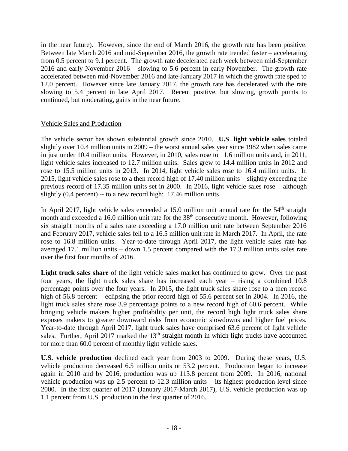in the near future). However, since the end of March 2016, the growth rate has been positive. Between late March 2016 and mid-September 2016, the growth rate trended faster – accelerating from 0.5 percent to 9.1 percent. The growth rate decelerated each week between mid-September 2016 and early November 2016 – slowing to 5.6 percent in early November. The growth rate accelerated between mid-November 2016 and late-January 2017 in which the growth rate sped to 12.0 percent. However since late January 2017, the growth rate has decelerated with the rate slowing to 5.4 percent in late April 2017. Recent positive, but slowing, growth points to continued, but moderating, gains in the near future.

#### Vehicle Sales and Production

The vehicle sector has shown substantial growth since 2010. **U.S**. **light vehicle sales** totaled slightly over 10.4 million units in 2009 – the worst annual sales year since 1982 when sales came in just under 10.4 million units. However, in 2010, sales rose to 11.6 million units and, in 2011, light vehicle sales increased to 12.7 million units. Sales grew to 14.4 million units in 2012 and rose to 15.5 million units in 2013. In 2014, light vehicle sales rose to 16.4 million units. In 2015, light vehicle sales rose to a then record high of 17.40 million units – slightly exceeding the previous record of 17.35 million units set in 2000. In 2016, light vehicle sales rose – although slightly (0.4 percent) -- to a new record high: 17.46 million units.

In April 2017, light vehicle sales exceeded a 15.0 million unit annual rate for the  $54<sup>th</sup>$  straight month and exceeded a 16.0 million unit rate for the  $38<sup>th</sup>$  consecutive month. However, following six straight months of a sales rate exceeding a 17.0 million unit rate between September 2016 and February 2017, vehicle sales fell to a 16.5 million unit rate in March 2017. In April, the rate rose to 16.8 million units. Year-to-date through April 2017, the light vehicle sales rate has averaged 17.1 million units – down 1.5 percent compared with the 17.3 million units sales rate over the first four months of 2016.

**Light truck sales share** of the light vehicle sales market has continued to grow. Over the past four years, the light truck sales share has increased each year – rising a combined 10.8 percentage points over the four years. In 2015, the light truck sales share rose to a then record high of 56.8 percent – eclipsing the prior record high of 55.6 percent set in 2004. In 2016, the light truck sales share rose 3.9 percentage points to a new record high of 60.6 percent. While bringing vehicle makers higher profitability per unit, the record high light truck sales share exposes makers to greater downward risks from economic slowdowns and higher fuel prices. Year-to-date through April 2017, light truck sales have comprised 63.6 percent of light vehicle sales. Further, April 2017 marked the  $13<sup>th</sup>$  straight month in which light trucks have accounted for more than 60.0 percent of monthly light vehicle sales.

**U.S. vehicle production** declined each year from 2003 to 2009. During these years, U.S. vehicle production decreased 6.5 million units or 53.2 percent. Production began to increase again in 2010 and by 2016, production was up 113.8 percent from 2009. In 2016, national vehicle production was up 2.5 percent to 12.3 million units – its highest production level since 2000. In the first quarter of 2017 (January 2017-March 2017), U.S. vehicle production was up 1.1 percent from U.S. production in the first quarter of 2016.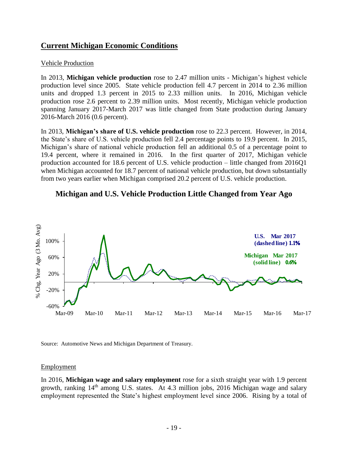## **Current Michigan Economic Conditions**

#### Vehicle Production

 In 2013, **Michigan vehicle production** rose to 2.47 million units - Michigan's highest vehicle production level since 2005. State vehicle production fell 4.7 percent in 2014 to 2.36 million units and dropped 1.3 percent in 2015 to 2.33 million units. In 2016, Michigan vehicle production rose 2.6 percent to 2.39 million units. Most recently, Michigan vehicle production spanning January 2017-March 2017 was little changed from State production during January 2016-March 2016 (0.6 percent).

In 2013, **Michigan's share of U.S. vehicle production** rose to 22.3 percent. However, in 2014, the State's share of U.S. vehicle production fell 2.4 percentage points to 19.9 percent. In 2015, Michigan's share of national vehicle production fell an additional 0.5 of a percentage point to 19.4 percent, where it remained in 2016. In the first quarter of 2017, Michigan vehicle production accounted for 18.6 percent of U.S. vehicle production – little changed from 2016Q1 when Michigan accounted for 18.7 percent of national vehicle production, but down substantially from two years earlier when Michigan comprised 20.2 percent of U.S. vehicle production.





Source: Automotive News and Michigan Department of Treasury.

#### Employment

In 2016, **Michigan wage and salary employment** rose for a sixth straight year with 1.9 percent growth, ranking 14th among U.S. states. At 4.3 million jobs, 2016 Michigan wage and salary employment represented the State's highest employment level since 2006. Rising by a total of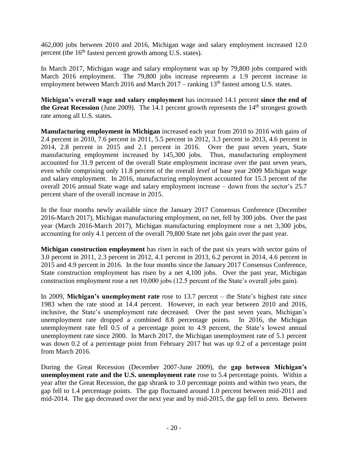462,000 jobs between 2010 and 2016, Michigan wage and salary employment increased 12.0 percent (the  $16<sup>th</sup>$  fastest percent growth among U.S. states).

In March 2017, Michigan wage and salary employment was up by 79,800 jobs compared with March 2016 employment. The 79,800 jobs increase represents a 1.9 percent increase in employment between March 2016 and March  $2017$  – ranking  $13<sup>th</sup>$  fastest among U.S. states.

**Michigan's overall wage and salary employment** has increased 14.1 percent **since the end of the Great Recession** (June 2009). The 14.1 percent growth represents the  $14<sup>th</sup>$  strongest growth rate among all U.S. states.

**Manufacturing employment in Michigan** increased each year from 2010 to 2016 with gains of 2.4 percent in 2010, 7.6 percent in 2011, 5.5 percent in 2012, 3.3 percent in 2013, 4.6 percent in 2014, 2.8 percent in 2015 and 2.1 percent in 2016. Over the past seven years, State manufacturing employment increased by 145,300 jobs. Thus, manufacturing employment accounted for 31.9 percent of the overall State employment increase over the past seven years, even while comprising only 11.8 percent of the overall *level* of base year 2009 Michigan wage and salary employment. In 2016, manufacturing employment accounted for 15.3 percent of the overall 2016 annual State wage and salary employment increase – down from the sector's 25.7 percent share of the overall increase in 2015.

In the four months newly available since the January 2017 Consensus Conference (December 2016-March 2017), Michigan manufacturing employment, on net, fell by 300 jobs. Over the past year (March 2016-March 2017), Michigan manufacturing employment rose a net 3,300 jobs, accounting for only 4.1 percent of the overall 79,800 State net jobs gain over the past year.

**Michigan construction employment** has risen in each of the past six years with sector gains of 3.0 percent in 2011, 2.3 percent in 2012, 4.1 percent in 2013, 6.2 percent in 2014, 4.6 percent in 2015 and 4.9 percent in 2016. In the four months since the January 2017 Consensus Conference, State construction employment has risen by a net 4,100 jobs. Over the past year, Michigan construction employment rose a net 10,000 jobs (12.5 percent of the State's overall jobs gain).

In 2009, **Michigan's unemployment rate** rose to 13.7 percent – the State's highest rate since 1983 when the rate stood at 14.4 percent. However, in each year between 2010 and 2016, inclusive, the State's unemployment rate decreased. Over the past seven years, Michigan's unemployment rate dropped a combined 8.8 percentage points. In 2016, the Michigan unemployment rate fell 0.5 of a percentage point to 4.9 percent, the State's lowest annual unemployment rate since 2000. In March 2017, the Michigan unemployment rate of 5.1 percent was down 0.2 of a percentage point from February 2017 but was up 0.2 of a percentage point from March 2016.

During the Great Recession (December 2007-June 2009), the **gap between Michigan's unemployment rate and the U.S. unemployment rate** rose to 5.4 percentage points. Within a year after the Great Recession, the gap shrank to 3.0 percentage points and within two years, the gap fell to 1.4 percentage points. The gap fluctuated around 1.0 percent between mid-2011 and mid-2014. The gap decreased over the next year and by mid-2015, the gap fell to zero. Between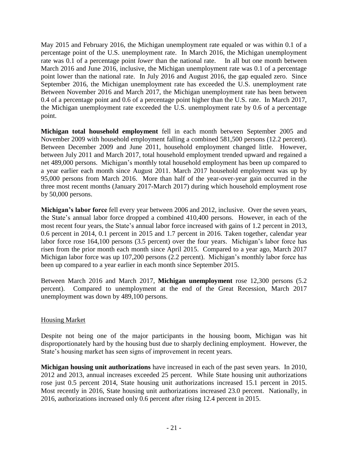May 2015 and February 2016, the Michigan unemployment rate equaled or was within 0.1 of a percentage point of the U.S. unemployment rate. In March 2016, the Michigan unemployment rate was 0.1 of a percentage point *lower* than the national rate. In all but one month between March 2016 and June 2016, inclusive, the Michigan unemployment rate was 0.1 of a percentage point lower than the national rate. In July 2016 and August 2016, the gap equaled zero. Since September 2016, the Michigan unemployment rate has exceeded the U.S. unemployment rate Between November 2016 and March 2017, the Michigan unemployment rate has been between 0.4 of a percentage point and 0.6 of a percentage point higher than the U.S. rate. In March 2017, the Michigan unemployment rate exceeded the U.S. unemployment rate by 0.6 of a percentage point.

**Michigan total household employment** fell in each month between September 2005 and November 2009 with household employment falling a combined 581,500 persons (12.2 percent). Between December 2009 and June 2011, household employment changed little. However, between July 2011 and March 2017, total household employment trended upward and regained a net 489,000 persons. Michigan's monthly total household employment has been up compared to a year earlier each month since August 2011. March 2017 household employment was up by 95,000 persons from March 2016. More than half of the year-over-year gain occurred in the three most recent months (January 2017-March 2017) during which household employment rose by 50,000 persons.

**Michigan's labor force** fell every year between 2006 and 2012, inclusive. Over the seven years, the State's annual labor force dropped a combined 410,400 persons. However, in each of the most recent four years, the State's annual labor force increased with gains of 1.2 percent in 2013, 0.6 percent in 2014, 0.1 percent in 2015 and 1.7 percent in 2016. Taken together, calendar year labor force rose 164,100 persons (3.5 percent) over the four years. Michigan's labor force has risen from the prior month each month since April 2015. Compared to a year ago, March 2017 Michigan labor force was up 107,200 persons (2.2 percent). Michigan's monthly labor force has been up compared to a year earlier in each month since September 2015.

Between March 2016 and March 2017, **Michigan unemployment** rose 12,300 persons (5.2 percent). Compared to unemployment at the end of the Great Recession, March 2017 unemployment was down by 489,100 persons.

#### Housing Market

Despite not being one of the major participants in the housing boom, Michigan was hit disproportionately hard by the housing bust due to sharply declining employment. However, the State's housing market has seen signs of improvement in recent years.

**Michigan housing unit authorizations** have increased in each of the past seven years. In 2010, 2012 and 2013, annual increases exceeded 25 percent. While State housing unit authorizations rose just 0.5 percent 2014, State housing unit authorizations increased 15.1 percent in 2015. Most recently in 2016, State housing unit authorizations increased 23.0 percent. Nationally, in 2016, authorizations increased only 0.6 percent after rising 12.4 percent in 2015.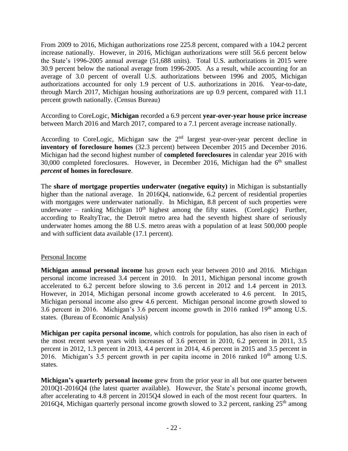From 2009 to 2016, Michigan authorizations rose 225.8 percent, compared with a 104.2 percent increase nationally. However, in 2016, Michigan authorizations were still 56.6 percent below the State's 1996-2005 annual average (51,688 units). Total U.S. authorizations in 2015 were 30.9 percent below the national average from 1996-2005. As a result, while accounting for an average of 3.0 percent of overall U.S. authorizations between 1996 and 2005, Michigan authorizations accounted for only 1.9 percent of U.S. authorizations in 2016. Year-to-date, through March 2017, Michigan housing authorizations are up 0.9 percent, compared with 11.1 percent growth nationally. (Census Bureau)

According to CoreLogic, **Michigan** recorded a 6.9 percent **year-over-year house price increase**  between March 2016 and March 2017, compared to a 7.1 percent average increase nationally.

According to CoreLogic, Michigan saw the  $2<sup>nd</sup>$  largest year-over-year percent decline in **inventory of foreclosure homes** (32.3 percent) between December 2015 and December 2016. Michigan had the second highest number of **completed foreclosures** in calendar year 2016 with 30,000 completed foreclosures. However, in December 2016, Michigan had the  $6<sup>th</sup>$  smallest *percent* **of homes in foreclosure**.

The **share of mortgage properties underwater (negative equity)** in Michigan is substantially higher than the national average. In 2016Q4, nationwide, 6.2 percent of residential properties with mortgages were underwater nationally. In Michigan, 8.8 percent of such properties were underwater – ranking Michigan 10<sup>th</sup> highest among the fifty states. (CoreLogic) Further, according to RealtyTrac, the Detroit metro area had the seventh highest share of seriously underwater homes among the 88 U.S. metro areas with a population of at least 500,000 people and with sufficient data available (17.1 percent).

#### Personal Income

**Michigan annual personal income** has grown each year between 2010 and 2016. Michigan personal income increased 3.4 percent in 2010. In 2011, Michigan personal income growth accelerated to 6.2 percent before slowing to 3.6 percent in 2012 and 1.4 percent in 2013. However, in 2014, Michigan personal income growth accelerated to 4.6 percent. In 2015, Michigan personal income also grew 4.6 percent. Michigan personal income growth slowed to 3.6 percent in 2016. Michigan's 3.6 percent income growth in 2016 ranked  $19<sup>th</sup>$  among U.S. states. (Bureau of Economic Analysis)

**Michigan per capita personal income**, which controls for population, has also risen in each of the most recent seven years with increases of 3.6 percent in 2010, 6.2 percent in 2011, 3.5 percent in 2012, 1.3 percent in 2013, 4.4 percent in 2014, 4.6 percent in 2015 and 3.5 percent in 2016. Michigan's 3.5 percent growth in per capita income in 2016 ranked  $10<sup>th</sup>$  among U.S. states.

**Michigan's quarterly personal income** grew from the prior year in all but one quarter between 2010Q1-2016Q4 (the latest quarter available). However, the State's personal income growth, after accelerating to 4.8 percent in 2015Q4 slowed in each of the most recent four quarters. In 2016Q4, Michigan quarterly personal income growth slowed to 3.2 percent, ranking  $25<sup>th</sup>$  among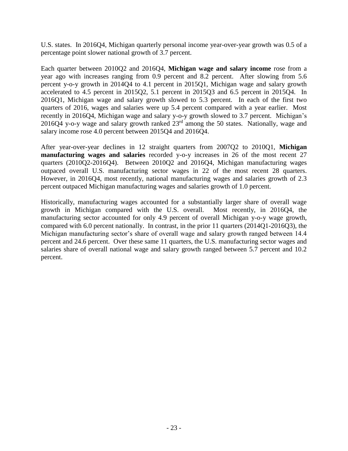U.S. states. In 2016Q4, Michigan quarterly personal income year-over-year growth was 0.5 of a percentage point slower national growth of 3.7 percent.

Each quarter between 2010Q2 and 2016Q4, **Michigan wage and salary income** rose from a year ago with increases ranging from 0.9 percent and 8.2 percent. After slowing from 5.6 percent y-o-y growth in 2014Q4 to 4.1 percent in 2015Q1, Michigan wage and salary growth accelerated to 4.5 percent in 2015Q2, 5.1 percent in 2015Q3 and 6.5 percent in 2015Q4. In 2016Q1, Michigan wage and salary growth slowed to 5.3 percent. In each of the first two quarters of 2016, wages and salaries were up 5.4 percent compared with a year earlier. Most recently in 2016Q4, Michigan wage and salary y-o-y growth slowed to 3.7 percent. Michigan's 2016Q4 y-o-y wage and salary growth ranked  $23<sup>rd</sup>$  among the 50 states. Nationally, wage and salary income rose 4.0 percent between 2015Q4 and 2016Q4.

After year-over-year declines in 12 straight quarters from 2007Q2 to 2010Q1, **Michigan manufacturing wages and salaries** recorded y-o-y increases in 26 of the most recent 27 quarters (2010Q2-2016Q4). Between 2010Q2 and 2016Q4, Michigan manufacturing wages outpaced overall U.S. manufacturing sector wages in 22 of the most recent 28 quarters. However, in 2016Q4, most recently, national manufacturing wages and salaries growth of 2.3 percent outpaced Michigan manufacturing wages and salaries growth of 1.0 percent.

Historically, manufacturing wages accounted for a substantially larger share of overall wage growth in Michigan compared with the U.S. overall. Most recently, in 2016Q4, the manufacturing sector accounted for only 4.9 percent of overall Michigan y-o-y wage growth, compared with 6.0 percent nationally. In contrast, in the prior 11 quarters (2014Q1-2016Q3), the Michigan manufacturing sector's share of overall wage and salary growth ranged between 14.4 percent and 24.6 percent. Over these same 11 quarters, the U.S. manufacturing sector wages and salaries share of overall national wage and salary growth ranged between 5.7 percent and 10.2 percent.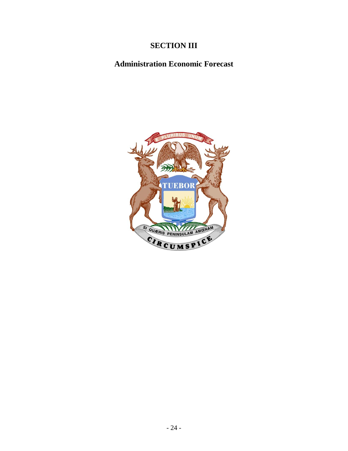# **SECTION III**

# **Administration Economic Forecast**

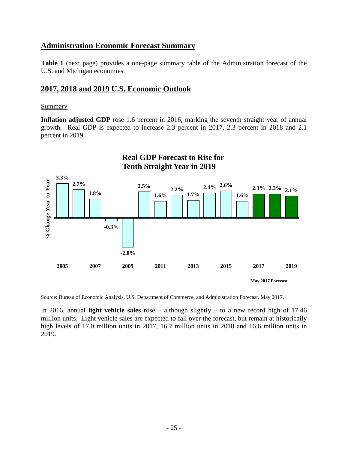### **Administration Economic Forecast Summary**

**Table 1** (next page) provides a one-page summary table of the Administration forecast of the U.S. and Michigan economies.

#### **2017, 2018 and 2019 U.S. Economic Outlook**

#### **Summary**

Inflation adjusted GDP rose 1.6 percent in 2016, marking the seventh straight year of annual growth. Real GDP is expected to increase 2.3 percent in 2017, 2.3 percent in 2018 and 2.1 percent in 2019.



Source: Bureau of Economic Analysis, U.S. Department of Commerce, and Administration Forecast, May 2017.

 In 2016, annual **light vehicle sales** rose – although slightly – to a new record high of 17.46 million units. Light vehicle sales are expected to fall over the forecast, but remain at historically high levels of 17.0 million units in 2017, 16.7 million units in 2018 and 16.6 million units in 2019.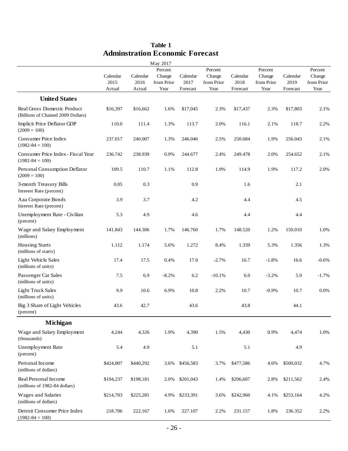| <b>Adminstration Economic Forecast</b>                                   |                            |                            |                                         |                              |                                         |                              |                                         |                              |                                         |
|--------------------------------------------------------------------------|----------------------------|----------------------------|-----------------------------------------|------------------------------|-----------------------------------------|------------------------------|-----------------------------------------|------------------------------|-----------------------------------------|
|                                                                          |                            |                            | May 2017                                |                              |                                         |                              |                                         |                              |                                         |
|                                                                          | Calendar<br>2015<br>Actual | Calendar<br>2016<br>Actual | Percent<br>Change<br>from Prior<br>Year | Calendar<br>2017<br>Forecast | Percent<br>Change<br>from Prior<br>Year | Calendar<br>2018<br>Forecast | Percent<br>Change<br>from Prior<br>Year | Calendar<br>2019<br>Forecast | Percent<br>Change<br>from Prior<br>Year |
| <b>United States</b>                                                     |                            |                            |                                         |                              |                                         |                              |                                         |                              |                                         |
| <b>Real Gross Domestic Product</b><br>(Billions of Chained 2009 Dollars) | \$16,397                   | \$16,662                   | 1.6%                                    | \$17,045                     | 2.3%                                    | \$17,437                     | 2.3%                                    | \$17,803                     | 2.1%                                    |
| Implicit Price Deflator GDP<br>$(2009 = 100)$                            | 110.0                      | 111.4                      | 1.3%                                    | 113.7                        | 2.0%                                    | 116.1                        | 2.1%                                    | 118.7                        | 2.2%                                    |
| Consumer Price Index<br>$(1982 - 84 = 100)$                              | 237.017                    | 240.007                    | 1.3%                                    | 246.046                      | 2.5%                                    | 250.684                      | 1.9%                                    | 256.043                      | 2.1%                                    |
| Consumer Price Index - Fiscal Year<br>$(1982 - 84 = 100)$                | 236.742                    | 238.939                    | 0.9%                                    | 244.677                      | 2.4%                                    | 249.478                      | 2.0%                                    | 254.652                      | 2.1%                                    |
| Personal Consumption Deflator<br>$(2009 = 100)$                          | 109.5                      | 110.7                      | 1.1%                                    | 112.8                        | 1.9%                                    | 114.9                        | 1.9%                                    | 117.2                        | 2.0%                                    |
| 3-month Treasury Bills<br>Interest Rate (percent)                        | 0.05                       | 0.3                        |                                         | 0.9                          |                                         | 1.6                          |                                         | 2.1                          |                                         |
| Aaa Corporate Bonds<br>Interest Rate (percent)                           | 3.9                        | 3.7                        |                                         | 4.2                          |                                         | 4.4                          |                                         | 4.5                          |                                         |
| Unemployment Rate - Civilian<br>(percent)                                | 5.3                        | 4.9                        |                                         | 4.6                          |                                         | 4.4                          |                                         | 4.4                          |                                         |
| Wage and Salary Employment<br>(millions)                                 | 141.843                    | 144.306                    | 1.7%                                    | 146.760                      | 1.7%                                    | 148.520                      | 1.2%                                    | 150.010                      | 1.0%                                    |
| <b>Housing Starts</b><br>(millions of starts)                            | 1.112                      | 1.174                      | 5.6%                                    | 1.272                        | 8.4%                                    | 1.339                        | 5.3%                                    | 1.356                        | 1.3%                                    |
| <b>Light Vehicle Sales</b><br>(millions of units)                        | 17.4                       | 17.5                       | 0.4%                                    | 17.0                         | $-2.7%$                                 | 16.7                         | $-1.8%$                                 | 16.6                         | $-0.6%$                                 |
| Passenger Car Sales<br>(millions of units)                               | 7.5                        | 6.9                        | $-8.2%$                                 | 6.2                          | $-10.1%$                                | 6.0                          | $-3.2%$                                 | 5.9                          | $-1.7%$                                 |
| <b>Light Truck Sales</b><br>(millions of units)                          | 9.9                        | 10.6                       | 6.9%                                    | 10.8                         | 2.2%                                    | 10.7                         | $-0.9%$                                 | 10.7                         | 0.0%                                    |
| Big 3 Share of Light Vehicles<br>(percent)                               | 43.6                       | 42.7                       |                                         | 43.6                         |                                         | 43.8                         |                                         | 44.1                         |                                         |
| <b>Michigan</b>                                                          |                            |                            |                                         |                              |                                         |                              |                                         |                              |                                         |
| Wage and Salary Employment<br>(thousands)                                | 4,244                      | 4,326                      | 1.9%                                    | 4,390                        | 1.5%                                    | 4,430                        | 0.9%                                    | 4,474                        | 1.0%                                    |
| Unemployment Rate<br>(percent)                                           | 5.4                        | 4.9                        |                                         | 5.1                          |                                         | 5.1                          |                                         | 4.9                          |                                         |
| Personal Income<br>(millions of dollars)                                 | \$424,807                  | \$440,292                  | 3.6%                                    | \$456,583                    | 3.7%                                    | \$477,586                    | 4.6%                                    | \$500,032                    | 4.7%                                    |
| Real Personal Income<br>(millions of 1982-84 dollars)                    | \$194,237                  | \$198,181                  | 2.0%                                    | \$201,043                    | 1.4%                                    | \$206,607                    | 2.8%                                    | \$211,562                    | 2.4%                                    |
| Wages and Salaries<br>(millions of dollars)                              | \$214,703                  | \$225,281                  | 4.9%                                    | \$233,391                    | 3.6%                                    | \$242,960                    | 4.1%                                    | \$253,164                    | 4.2%                                    |
| Detroit Consumer Price Index<br>$(1982 - 84 = 100)$                      | 218.706                    | 222.167                    | 1.6%                                    | 227.107                      | 2.2%                                    | 231.157                      | 1.8%                                    | 236.352                      | 2.2%                                    |

# **Table 1**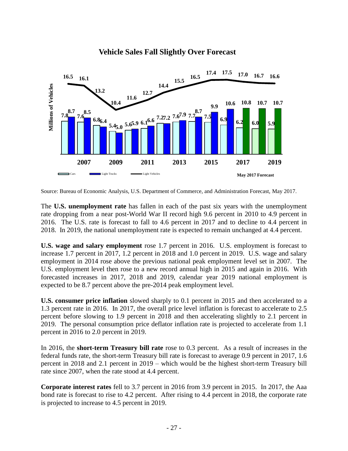

## **Vehicle Sales Fall Slightly Over Forecast**

Source: Bureau of Economic Analysis, U.S. Department of Commerce, and Administration Forecast, May 2017.

 rate dropping from a near post-World War II record high 9.6 percent in 2010 to 4.9 percent in 2016. The U.S. rate is forecast to fall to 4.6 percent in 2017 and to decline to 4.4 percent in 2018. In 2019, the national unemployment rate is expected to remain unchanged at 4.4 percent. The **U.S. unemployment rate** has fallen in each of the past six years with the unemployment

**U.S. wage and salary employment** rose 1.7 percent in 2016. U.S. employment is forecast to increase 1.7 percent in 2017, 1.2 percent in 2018 and 1.0 percent in 2019. U.S. wage and salary employment in 2014 rose above the previous national peak employment level set in 2007. The U.S. employment level then rose to a new record annual high in 2015 and again in 2016. With forecasted increases in 2017, 2018 and 2019, calendar year 2019 national employment is expected to be 8.7 percent above the pre-2014 peak employment level.

**U.S. consumer price inflation** slowed sharply to 0.1 percent in 2015 and then accelerated to a 1.3 percent rate in 2016. In 2017, the overall price level inflation is forecast to accelerate to 2.5 percent before slowing to 1.9 percent in 2018 and then accelerating slightly to 2.1 percent in 2019. The personal consumption price deflator inflation rate is projected to accelerate from 1.1 percent in 2016 to 2.0 percent in 2019.

 In 2016, the **short-term Treasury bill rate** rose to 0.3 percent. As a result of increases in the federal funds rate, the short-term Treasury bill rate is forecast to average 0.9 percent in 2017, 1.6 percent in 2018 and 2.1 percent in 2019 – which would be the highest short-term Treasury bill rate since 2007, when the rate stood at 4.4 percent.

 **Corporate interest rates** fell to 3.7 percent in 2016 from 3.9 percent in 2015. In 2017, the Aaa bond rate is forecast to rise to 4.2 percent. After rising to 4.4 percent in 2018, the corporate rate is projected to increase to 4.5 percent in 2019.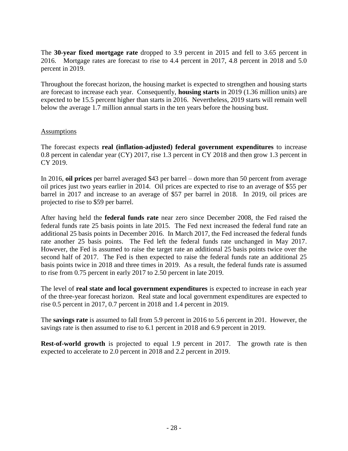The **30-year fixed mortgage rate** dropped to 3.9 percent in 2015 and fell to 3.65 percent in 2016. Mortgage rates are forecast to rise to 4.4 percent in 2017, 4.8 percent in 2018 and 5.0 percent in 2019.

 are forecast to increase each year. Consequently, **housing starts** in 2019 (1.36 million units) are expected to be 15.5 percent higher than starts in 2016. Nevertheless, 2019 starts will remain well Throughout the forecast horizon, the housing market is expected to strengthen and housing starts below the average 1.7 million annual starts in the ten years before the housing bust.

#### **Assumptions**

The forecast expects **real (inflation-adjusted) federal government expenditures** to increase 0.8 percent in calendar year (CY) 2017, rise 1.3 percent in CY 2018 and then grow 1.3 percent in CY 2019.

 In 2016, **oil prices** per barrel averaged \$43 per barrel – down more than 50 percent from average oil prices just two years earlier in 2014. Oil prices are expected to rise to an average of \$55 per barrel in 2017 and increase to an average of \$57 per barrel in 2018. In 2019, oil prices are projected to rise to \$59 per barrel.

 After having held the **federal funds rate** near zero since December 2008, the Fed raised the federal funds rate 25 basis points in late 2015. The Fed next increased the federal fund rate an rate another 25 basis points. The Fed left the federal funds rate unchanged in May 2017. However, the Fed is assumed to raise the target rate an additional 25 basis points twice over the second half of 2017. The Fed is then expected to raise the federal funds rate an additional 25 basis points twice in 2018 and three times in 2019. As a result, the federal funds rate is assumed to rise from 0.75 percent in early 2017 to 2.50 percent in late 2019. additional 25 basis points in December 2016. In March 2017, the Fed increased the federal funds

 The level of **real state and local government expenditures** is expected to increase in each year of the three-year forecast horizon. Real state and local government expenditures are expected to rise 0.5 percent in 2017, 0.7 percent in 2018 and 1.4 percent in 2019.

 The **savings rate** is assumed to fall from 5.9 percent in 2016 to 5.6 percent in 201. However, the savings rate is then assumed to rise to 6.1 percent in 2018 and 6.9 percent in 2019.

 **Rest-of-world growth** is projected to equal 1.9 percent in 2017. The growth rate is then expected to accelerate to 2.0 percent in 2018 and 2.2 percent in 2019.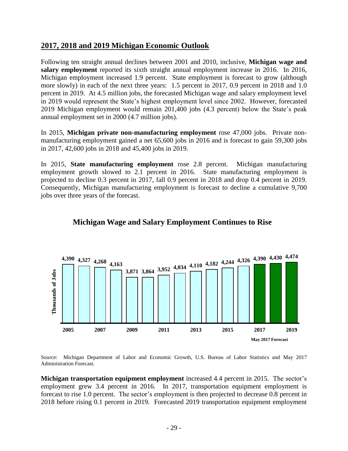## **2017, 2018 and 2019 Michigan Economic Outlook**

 Following ten straight annual declines between 2001 and 2010, inclusive, **Michigan wage and salary employment** reported its sixth straight annual employment increase in 2016. In 2016, Michigan employment increased 1.9 percent. State employment is forecast to grow (although more slowly) in each of the next three years: 1.5 percent in 2017, 0.9 percent in 2018 and 1.0 percent in 2019. At 4.5 million jobs, the forecasted Michigan wage and salary employment level in 2019 would represent the State's highest employment level since 2002. However, forecasted 2019 Michigan employment would remain 201,400 jobs (4.3 percent) below the State's peak annual employment set in 2000 (4.7 million jobs).

 In 2015, **Michigan private non-manufacturing employment** rose 47,000 jobs. Private non- manufacturing employment gained a net 65,600 jobs in 2016 and is forecast to gain 59,300 jobs in 2017, 42,600 jobs in 2018 and 45,400 jobs in 2019.

 In 2015, **State manufacturing employment** rose 2.8 percent. Michigan manufacturing employment growth slowed to 2.1 percent in 2016. State manufacturing employment is projected to decline 0.3 percent in 2017, fall 0.9 percent in 2018 and drop 0.4 percent in 2019. Consequently, Michigan manufacturing employment is forecast to decline a cumulative 9,700 jobs over three years of the forecast.



## **Michigan Wage and Salary Employment Continues to Rise**

Source: Administration Forecast. Michigan Department of Labor and Economic Growth, U.S. Bureau of Labor Statistics and May 2017

**Michigan transportation equipment employment** increased 4.4 percent in 2015. The sector's employment grew 3.4 percent in 2016. In 2017, transportation equipment employment is forecast to rise 1.0 percent. The sector's employment is then projected to decrease 0.8 percent in 2018 before rising 0.1 percent in 2019. Forecasted 2019 transportation equipment employment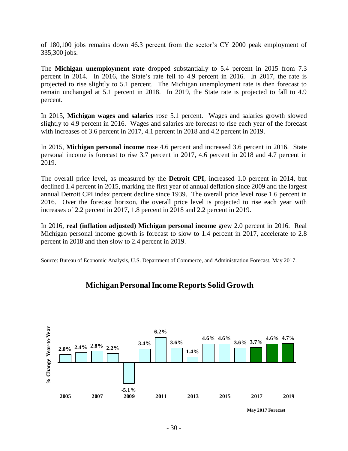of 180,100 jobs remains down 46.3 percent from the sector's CY 2000 peak employment of 335,300 jobs.

 percent in 2014. In 2016, the State's rate fell to 4.9 percent in 2016. In 2017, the rate is projected to rise slightly to 5.1 percent. The Michigan unemployment rate is then forecast to remain unchanged at 5.1 percent in 2018. In 2019, the State rate is projected to fall to 4.9 The **Michigan unemployment rate** dropped substantially to 5.4 percent in 2015 from 7.3 percent.

 In 2015, **Michigan wages and salaries** rose 5.1 percent. Wages and salaries growth slowed slightly to 4.9 percent in 2016. Wages and salaries are forecast to rise each year of the forecast with increases of 3.6 percent in 2017, 4.1 percent in 2018 and 4.2 percent in 2019.

 In 2015, **Michigan personal income** rose 4.6 percent and increased 3.6 percent in 2016. State personal income is forecast to rise 3.7 percent in 2017, 4.6 percent in 2018 and 4.7 percent in 2019.

 The overall price level, as measured by the **Detroit CPI**, increased 1.0 percent in 2014, but annual Detroit CPI index percent decline since 1939. The overall price level rose 1.6 percent in 2016. Over the forecast horizon, the overall price level is projected to rise each year with increases of 2.2 percent in 2017, 1.8 percent in 2018 and 2.2 percent in 2019. declined 1.4 percent in 2015, marking the first year of annual deflation since 2009 and the largest

 In 2016, **real (inflation adjusted) Michigan personal income** grew 2.0 percent in 2016. Real Michigan personal income growth is forecast to slow to 1.4 percent in 2017, accelerate to 2.8 percent in 2018 and then slow to 2.4 percent in 2019.

Source: Bureau of Economic Analysis, U.S. Department of Commerce, and Administration Forecast, May 2017.



## **Michigan Personal Income Reports Solid Growth**

**May 2017 Forecast**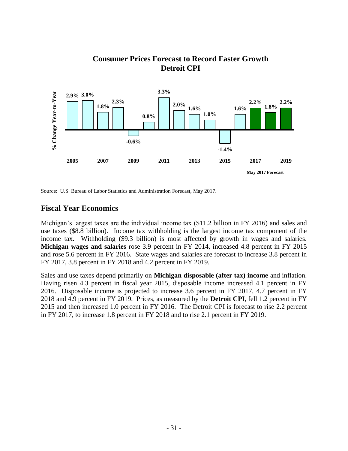#### **% Change Year-to-Year 3.3%** % Change Year-to-Year **2.9% 3.0% 2.3% 2.2% 2.2% 2.0% 1.6% 1.8% 1.8% 1.6% 1.0% 0.8% -0.6% -1.4% 2005 2007 2009 2011 2013 2015 2017 2019 May 2017 Forecast**

## **Consumer Prices Forecast to Record Faster Growth Detroit CPI**

Source: U.S. Bureau of Labor Statistics and Administration Forecast, May 2017.

## **Fiscal Year Economics**

 Michigan's largest taxes are the individual income tax (\$11.2 billion in FY 2016) and sales and use taxes (\$8.8 billion). Income tax withholding is the largest income tax component of the income tax. Withholding (\$9.3 billion) is most affected by growth in wages and salaries.  **Michigan wages and salaries** rose 3.9 percent in FY 2014, increased 4.8 percent in FY 2015 and rose 5.6 percent in FY 2016. State wages and salaries are forecast to increase 3.8 percent in FY 2017, 3.8 percent in FY 2018 and 4.2 percent in FY 2019.

 Sales and use taxes depend primarily on **Michigan disposable (after tax) income** and inflation. Having risen 4.3 percent in fiscal year 2015, disposable income increased 4.1 percent in FY 2016. Disposable income is projected to increase 3.6 percent in FY 2017, 4.7 percent in FY 2018 and 4.9 percent in FY 2019. Prices, as measured by the **Detroit CPI**, fell 1.2 percent in FY 2015 and then increased 1.0 percent in FY 2016. The Detroit CPI is forecast to rise 2.2 percent in FY 2017, to increase 1.8 percent in FY 2018 and to rise 2.1 percent in FY 2019.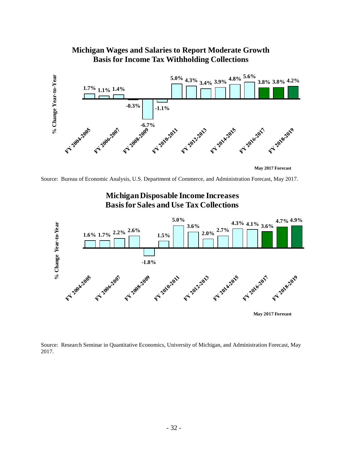#### **Michigan Wages and Salaries to Report Moderate Growth Basis for Income Tax Withholding Collections**



**May 2017 Forecast**

Source: Bureau of Economic Analysis, U.S. Department of Commerce, and Administration Forecast, May 2017.



**Michigan Disposable Income Increases Basis for Sales and Use Tax Collections**

Source: Research Seminar in Quantitative Economics, University of Michigan, and Administration Forecast, May 2017.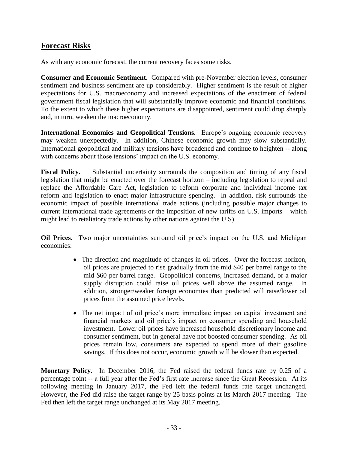## **Forecast Risks**

As with any economic forecast, the current recovery faces some risks.

**Consumer and Economic Sentiment.** Compared with pre-November election levels, consumer sentiment and business sentiment are up considerably. Higher sentiment is the result of higher expectations for U.S. macroeconomy and increased expectations of the enactment of federal government fiscal legislation that will substantially improve economic and financial conditions. To the extent to which these higher expectations are disappointed, sentiment could drop sharply and, in turn, weaken the macroeconomy.

**International Economies and Geopolitical Tensions.** Europe's ongoing economic recovery may weaken unexpectedly. In addition, Chinese economic growth may slow substantially. International geopolitical and military tensions have broadened and continue to heighten -- along with concerns about those tensions' impact on the U.S. economy.

**Fiscal Policy.** Substantial uncertainty surrounds the composition and timing of any fiscal legislation that might be enacted over the forecast horizon – including legislation to repeal and replace the Affordable Care Act, legislation to reform corporate and individual income tax reform and legislation to enact major infrastructure spending. In addition, risk surrounds the economic impact of possible international trade actions (including possible major changes to current international trade agreements or the imposition of new tariffs on U.S. imports – which might lead to retaliatory trade actions by other nations against the U.S).

**Oil Prices.** Two major uncertainties surround oil price's impact on the U.S. and Michigan economies:

- The direction and magnitude of changes in oil prices. Over the forecast horizon, oil prices are projected to rise gradually from the mid \$40 per barrel range to the mid \$60 per barrel range. Geopolitical concerns, increased demand, or a major supply disruption could raise oil prices well above the assumed range. addition, stronger/weaker foreign economies than predicted will raise/lower oil prices from the assumed price levels.
- The net impact of oil price's more immediate impact on capital investment and financial markets and oil price's impact on consumer spending and household investment. Lower oil prices have increased household discretionary income and consumer sentiment, but in general have not boosted consumer spending. As oil prices remain low, consumers are expected to spend more of their gasoline savings. If this does not occur, economic growth will be slower than expected.

**Monetary Policy.** In December 2016, the Fed raised the federal funds rate by 0.25 of a percentage point -- a full year after the Fed's first rate increase since the Great Recession. At its following meeting in January 2017, the Fed left the federal funds rate target unchanged. However, the Fed did raise the target range by 25 basis points at its March 2017 meeting. The Fed then left the target range unchanged at its May 2017 meeting.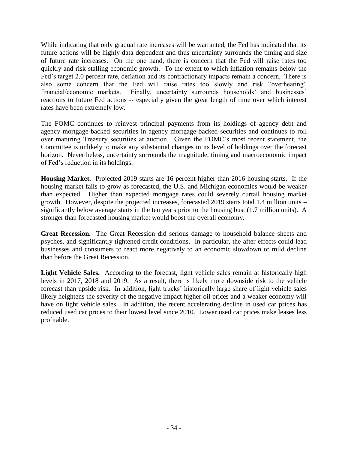While indicating that only gradual rate increases will be warranted, the Fed has indicated that its future actions will be highly data dependent and thus uncertainty surrounds the timing and size of future rate increases. On the one hand, there is concern that the Fed will raise rates too quickly and risk stalling economic growth. To the extent to which inflation remains below the Fed's target 2.0 percent rate, deflation and its contractionary impacts remain a concern. There is also some concern that the Fed will raise rates too slowly and risk "overheating" financial/economic markets. Finally, uncertainty surrounds households' and businesses' reactions to future Fed actions -- especially given the great length of time over which interest rates have been extremely low.

The FOMC continues to reinvest principal payments from its holdings of agency debt and agency mortgage-backed securities in agency mortgage-backed securities and continues to roll over maturing Treasury securities at auction. Given the FOMC's most recent statement, the Committee is unlikely to make any substantial changes in its level of holdings over the forecast horizon. Nevertheless, uncertainty surrounds the magnitude, timing and macroeconomic impact of Fed's reduction in its holdings.

**Housing Market.** Projected 2019 starts are 16 percent higher than 2016 housing starts. If the housing market fails to grow as forecasted, the U.S. and Michigan economies would be weaker than expected. Higher than expected mortgage rates could severely curtail housing market growth. However, despite the projected increases, forecasted 2019 starts total 1.4 million units – significantly below average starts in the ten years prior to the housing bust (1.7 million units). A stronger than forecasted housing market would boost the overall economy.

**Great Recession.** The Great Recession did serious damage to household balance sheets and psyches, and significantly tightened credit conditions. In particular, the after effects could lead businesses and consumers to react more negatively to an economic slowdown or mild decline than before the Great Recession.

Light Vehicle Sales. According to the forecast, light vehicle sales remain at historically high levels in 2017, 2018 and 2019. As a result, there is likely more downside risk to the vehicle forecast than upside risk. In addition, light trucks' historically large share of light vehicle sales likely heightens the severity of the negative impact higher oil prices and a weaker economy will have on light vehicle sales. In addition, the recent accelerating decline in used car prices has reduced used car prices to their lowest level since 2010. Lower used car prices make leases less profitable.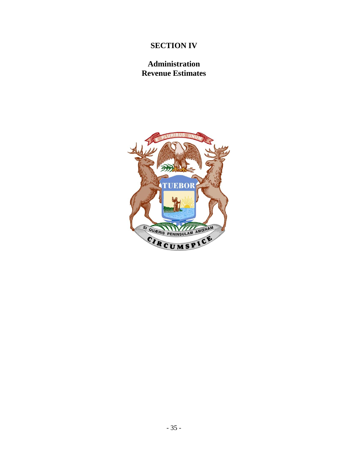# **SECTION IV**

## **Administration Revenue Estimates**

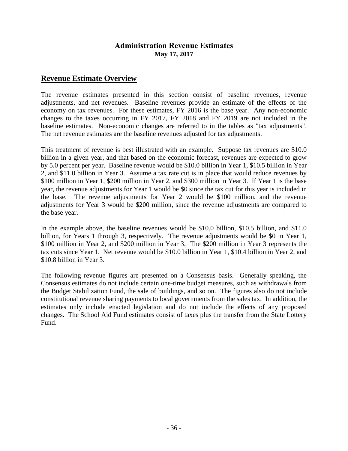#### **Administration Revenue Estimates May 17, 2017**

#### **Revenue Estimate Overview**

 The revenue estimates presented in this section consist of baseline revenues, revenue adjustments, and net revenues. Baseline revenues provide an estimate of the effects of the economy on tax revenues. For these estimates, FY 2016 is the base year. Any non-economic changes to the taxes occurring in FY 2017, FY 2018 and FY 2019 are not included in the baseline estimates. Non-economic changes are referred to in the tables as "tax adjustments". The net revenue estimates are the baseline revenues adjusted for tax adjustments.

 This treatment of revenue is best illustrated with an example. Suppose tax revenues are \$10.0 billion in a given year, and that based on the economic forecast, revenues are expected to grow by 5.0 percent per year. Baseline revenue would be \$10.0 billion in Year 1, \$10.5 billion in Year 2, and \$11.0 billion in Year 3. Assume a tax rate cut is in place that would reduce revenues by \$100 million in Year 1, \$200 million in Year 2, and \$300 million in Year 3. If Year 1 is the base year, the revenue adjustments for Year 1 would be \$0 since the tax cut for this year is included in the base. The revenue adjustments for Year 2 would be \$100 million, and the revenue adjustments for Year 3 would be \$200 million, since the revenue adjustments are compared to the base year.

 In the example above, the baseline revenues would be \$10.0 billion, \$10.5 billion, and \$11.0 billion, for Years 1 through 3, respectively. The revenue adjustments would be \$0 in Year 1, \$100 million in Year 2, and \$200 million in Year 3. The \$200 million in Year 3 represents the tax cuts since Year 1. Net revenue would be \$10.0 billion in Year 1, \$10.4 billion in Year 2, and \$10.8 billion in Year 3.

 The following revenue figures are presented on a Consensus basis. Generally speaking, the Consensus estimates do not include certain one-time budget measures, such as withdrawals from the Budget Stabilization Fund, the sale of buildings, and so on. The figures also do not include estimates only include enacted legislation and do not include the effects of any proposed changes. The School Aid Fund estimates consist of taxes plus the transfer from the State Lottery constitutional revenue sharing payments to local governments from the sales tax. In addition, the Fund.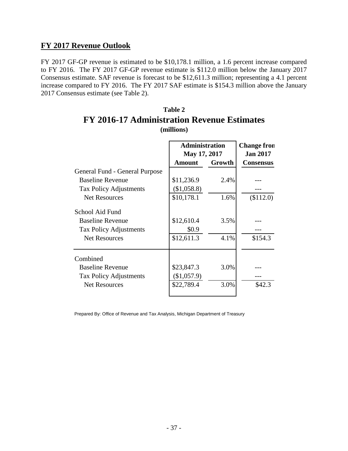#### **FY 2017 Revenue Outlook**

 FY 2017 GF-GP revenue is estimated to be \$10,178.1 million, a 1.6 percent increase compared to FY 2016. The FY 2017 GF-GP revenue estimate is \$112.0 million below the January 2017 Consensus estimate. SAF revenue is forecast to be \$12,611.3 million; representing a 4.1 percent increase compared to FY 2016. The FY 2017 SAF estimate is \$154.3 million above the January 2017 Consensus estimate (see Table 2).

| г т 2010-17 жинншы айын кетенис езишак э                                                     |                                         |                                       |           |  |  |  |  |
|----------------------------------------------------------------------------------------------|-----------------------------------------|---------------------------------------|-----------|--|--|--|--|
|                                                                                              | (millions)                              |                                       |           |  |  |  |  |
|                                                                                              | <b>Administration</b><br>May 17, 2017   | <b>Change fron</b><br><b>Jan 2017</b> |           |  |  |  |  |
|                                                                                              | <b>Amount</b>                           | <b>Consensus</b>                      |           |  |  |  |  |
| General Fund - General Purpose                                                               |                                         | Growth                                |           |  |  |  |  |
| <b>Baseline Revenue</b>                                                                      | \$11,236.9                              | 2.4%                                  |           |  |  |  |  |
| <b>Tax Policy Adjustments</b>                                                                | (\$1,058.8)                             |                                       |           |  |  |  |  |
| <b>Net Resources</b>                                                                         | \$10,178.1                              | 1.6%                                  | (\$112.0) |  |  |  |  |
| School Aid Fund<br><b>Baseline Revenue</b><br><b>Tax Policy Adjustments</b>                  | \$12,610.4<br>\$0.9                     | 3.5%                                  |           |  |  |  |  |
| <b>Net Resources</b>                                                                         | \$12,611.3                              | 4.1%                                  | \$154.3   |  |  |  |  |
| Combined<br><b>Baseline Revenue</b><br><b>Tax Policy Adjustments</b><br><b>Net Resources</b> | \$23,847.3<br>(\$1,057.9)<br>\$22,789.4 | 3.0%<br>3.0%                          | \$42.3    |  |  |  |  |

#### **Table 2 FY 2016-17 Administration Revenue Estimates (millions)**

Prepared By: Office of Revenue and Tax Analysis, Michigan Department of Treasury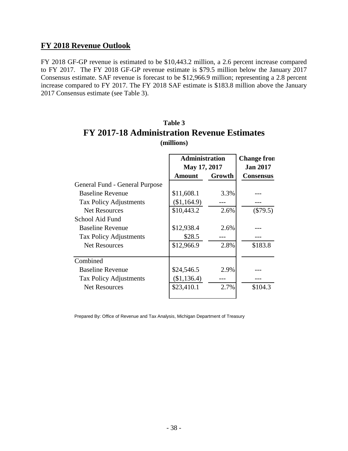#### **FY 2018 Revenue Outlook**

 FY 2018 GF-GP revenue is estimated to be \$10,443.2 million, a 2.6 percent increase compared to FY 2017. The FY 2018 GF-GP revenue estimate is \$79.5 million below the January 2017 Consensus estimate. SAF revenue is forecast to be \$12,966.9 million; representing a 2.8 percent increase compared to FY 2017. The FY 2018 SAF estimate is \$183.8 million above the January 2017 Consensus estimate (see Table 3).

| т т 2017-10 жинними айми кетение еминане<br>(millions) |                                       |                                       |            |  |  |  |  |  |
|--------------------------------------------------------|---------------------------------------|---------------------------------------|------------|--|--|--|--|--|
|                                                        | <b>Administration</b><br>May 17, 2017 | <b>Change fron</b><br><b>Jan 2017</b> |            |  |  |  |  |  |
|                                                        | <b>Amount</b>                         | Growth                                |            |  |  |  |  |  |
| General Fund - General Purpose                         |                                       |                                       |            |  |  |  |  |  |
| <b>Baseline Revenue</b>                                | \$11,608.1                            | 3.3%                                  |            |  |  |  |  |  |
| <b>Tax Policy Adjustments</b>                          | (\$1,164.9)                           |                                       |            |  |  |  |  |  |
| <b>Net Resources</b>                                   | \$10,443.2                            | 2.6%                                  | $(\$79.5)$ |  |  |  |  |  |
| School Aid Fund                                        |                                       |                                       |            |  |  |  |  |  |
| <b>Baseline Revenue</b>                                | \$12,938.4                            | 2.6%                                  |            |  |  |  |  |  |
| <b>Tax Policy Adjustments</b>                          | \$28.5                                |                                       |            |  |  |  |  |  |
| <b>Net Resources</b>                                   | \$12,966.9                            | 2.8%                                  | \$183.8    |  |  |  |  |  |
| Combined                                               |                                       |                                       |            |  |  |  |  |  |
| <b>Baseline Revenue</b>                                | \$24,546.5                            | 2.9%                                  |            |  |  |  |  |  |
| <b>Tax Policy Adjustments</b>                          | (\$1,136.4)                           |                                       |            |  |  |  |  |  |
| <b>Net Resources</b>                                   | \$23,410.1                            | 2.7%                                  | \$104.3    |  |  |  |  |  |

## **Table 3 FY 2017-18 Administration Revenue Estimates (millions)**

Prepared By: Office of Revenue and Tax Analysis, Michigan Department of Treasury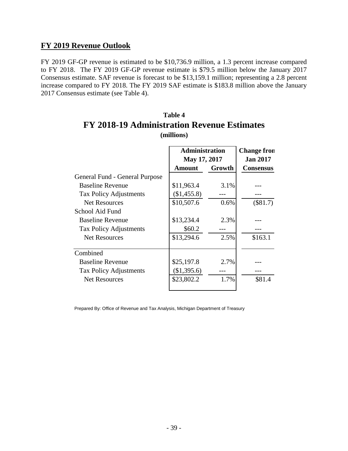#### **FY 2019 Revenue Outlook**

 FY 2019 GF-GP revenue is estimated to be \$10,736.9 million, a 1.3 percent increase compared to FY 2018. The FY 2019 GF-GP revenue estimate is \$79.5 million below the January 2017 Consensus estimate. SAF revenue is forecast to be \$13,159.1 million; representing a 2.8 percent increase compared to FY 2018. The FY 2019 SAF estimate is \$183.8 million above the January 2017 Consensus estimate (see Table 4).

| т т <i>д</i> уто-ту жинними айон кетение езишанся<br>(millions) |                                       |                                       |                  |  |  |  |  |
|-----------------------------------------------------------------|---------------------------------------|---------------------------------------|------------------|--|--|--|--|
|                                                                 | <b>Administration</b><br>May 17, 2017 | <b>Change fron</b><br><b>Jan 2017</b> |                  |  |  |  |  |
|                                                                 | <b>Amount</b>                         | Growth                                | <b>Consensus</b> |  |  |  |  |
| General Fund - General Purpose                                  |                                       |                                       |                  |  |  |  |  |
| <b>Baseline Revenue</b>                                         | \$11,963.4                            | 3.1%                                  |                  |  |  |  |  |
| Tax Policy Adjustments                                          | (\$1,455.8)                           |                                       |                  |  |  |  |  |
| <b>Net Resources</b>                                            | \$10,507.6                            | 0.6%                                  | (\$81.7)         |  |  |  |  |
| School Aid Fund                                                 |                                       |                                       |                  |  |  |  |  |
| <b>Baseline Revenue</b>                                         | \$13,234.4                            | 2.3%                                  |                  |  |  |  |  |
| <b>Tax Policy Adjustments</b>                                   | \$60.2                                |                                       |                  |  |  |  |  |
| <b>Net Resources</b>                                            | \$13,294.6                            | 2.5%                                  | \$163.1          |  |  |  |  |
| Combined                                                        |                                       |                                       |                  |  |  |  |  |
| <b>Baseline Revenue</b>                                         | \$25,197.8                            | 2.7%                                  |                  |  |  |  |  |
| <b>Tax Policy Adjustments</b>                                   | (\$1,395.6)                           |                                       |                  |  |  |  |  |
| <b>Net Resources</b>                                            | \$23,802.2                            | 1.7%                                  | \$81.4           |  |  |  |  |

# **Table 4 FY 2018-19 Administration Revenue Estimates (millions)**

Prepared By: Office of Revenue and Tax Analysis, Michigan Department of Treasury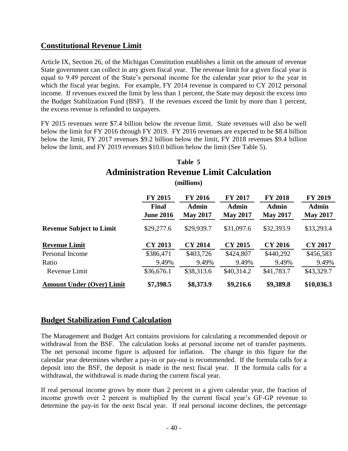## **Constitutional Revenue Limit**

Article IX, Section 26, of the Michigan Constitution establishes a limit on the amount of revenue State government can collect in any given fiscal year. The revenue limit for a given fiscal year is equal to 9.49 percent of the State's personal income for the calendar year prior to the year in which the fiscal year begins. For example, FY 2014 revenue is compared to CY 2012 personal income. If revenues exceed the limit by less than 1 percent, the State may deposit the excess into the Budget Stabilization Fund (BSF). If the revenues exceed the limit by more than 1 percent, the excess revenue is refunded to taxpayers.

 FY 2015 revenues were \$7.4 billion below the revenue limit. State revenues will also be well below the limit for FY 2016 through FY 2019. FY 2016 revenues are expected to be \$8.4 billion below the limit, FY 2017 revenues \$9.2 billion below the limit, FY 2018 revenues \$9.4 billion below the limit, and FY 2019 revenues \$10.0 billion below the limit (See Table 5).

## **Table 5 Administration Revenue Limit Calculation**

**(millions)**

|                                  | <b>FY 2015</b><br><b>Final</b><br><b>June 2016</b> | <b>FY 2016</b><br><b>Admin</b><br><b>May 2017</b> | <b>FY 2017</b><br>Admin<br><b>May 2017</b> | <b>FY 2018</b><br>Admin<br><b>May 2017</b> | <b>FY 2019</b><br><b>Admin</b><br><b>May 2017</b> |
|----------------------------------|----------------------------------------------------|---------------------------------------------------|--------------------------------------------|--------------------------------------------|---------------------------------------------------|
| <b>Revenue Subject to Limit</b>  | \$29,277.6                                         | \$29,939.7                                        | \$31,097.6                                 | \$32,393.9                                 | \$33,293.4                                        |
| <b>Revenue Limit</b>             | <b>CY 2013</b>                                     | <b>CY 2014</b>                                    | <b>CY 2015</b>                             | CY 2016                                    | <b>CY 2017</b>                                    |
| Personal Income                  | \$386,471                                          | \$403,726                                         | \$424,807                                  | \$440,292                                  | \$456,583                                         |
| Ratio                            | 9.49%                                              | 9.49%                                             | 9.49%                                      | 9.49%                                      | 9.49%                                             |
| Revenue Limit                    | \$36,676.1                                         | \$38,313.6                                        | \$40,314.2                                 | \$41,783.7                                 | \$43,329.7                                        |
| <b>Amount Under (Over) Limit</b> | \$7,398.5                                          | \$8,373.9                                         | \$9,216.6                                  | \$9,389.8                                  | \$10,036.3                                        |

#### **Budget Stabilization Fund Calculation**

 The Management and Budget Act contains provisions for calculating a recommended deposit or withdrawal from the BSF. The calculation looks at personal income net of transfer payments. The net personal income figure is adjusted for inflation. The change in this figure for the calendar year determines whether a pay-in or pay-out is recommended. If the formula calls for a deposit into the BSF, the deposit is made in the next fiscal year. If the formula calls for a withdrawal, the withdrawal is made during the current fiscal year.

If real personal income grows by more than 2 percent in a given calendar year, the fraction of income growth over 2 percent is multiplied by the current fiscal year's GF-GP revenue to determine the pay-in for the next fiscal year. If real personal income declines, the percentage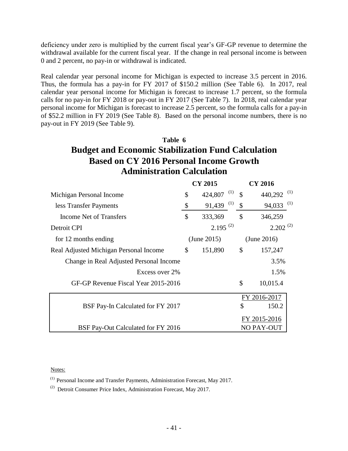deficiency under zero is multiplied by the current fiscal year's GF-GP revenue to determine the withdrawal available for the current fiscal year. If the change in real personal income is between 0 and 2 percent, no pay-in or withdrawal is indicated.

 Real calendar year personal income for Michigan is expected to increase 3.5 percent in 2016. Thus, the formula has a pay-in for FY 2017 of \$150.2 million (See Table 6). In 2017, real calendar year personal income for Michigan is forecast to increase 1.7 percent, so the formula calls for no pay-in for FY 2018 or pay-out in FY 2017 (See Table 7). In 2018, real calendar year personal income for Michigan is forecast to increase 2.5 percent, so the formula calls for a pay-in of \$52.2 million in FY 2019 (See Table 8). Based on the personal income numbers, there is no pay-out in FY 2019 (See Table 9).

# **Table 6 Budget and Economic Stabilization Fund Calculation Based on CY 2016 Personal Income Growth Administration Calculation**

|                                         |                           | <b>CY 2015</b> |               | <b>CY 2016</b>         |
|-----------------------------------------|---------------------------|----------------|---------------|------------------------|
| Michigan Personal Income                | \$                        | (1)<br>424,807 | $\mathcal{S}$ | 440,292 <sup>(1)</sup> |
| less Transfer Payments                  | $\boldsymbol{\mathsf{S}}$ | (1)<br>91,439  | \$            | (1)<br>94,033          |
| Income Net of Transfers                 | \$                        | 333,369        | \$            | 346,259                |
| Detroit CPI                             |                           | $2.195^{(2)}$  |               | $2.202^{(2)}$          |
| for 12 months ending                    |                           | (June 2015)    |               | (June 2016)            |
| Real Adjusted Michigan Personal Income  | \$                        | 151,890        | $\mathbb{S}$  | 157,247                |
| Change in Real Adjusted Personal Income |                           |                |               | 3.5%                   |
| Excess over 2%                          |                           |                |               | 1.5%                   |
| GF-GP Revenue Fiscal Year 2015-2016     |                           |                | $\mathcal{S}$ | 10,015.4               |
|                                         |                           |                |               | FY 2016-2017           |
| BSF Pay-In Calculated for FY 2017       |                           |                | \$            | 150.2                  |
|                                         |                           |                |               | FY 2015-2016           |
| BSF Pay-Out Calculated for FY 2016      |                           |                |               | NO PAY-OUT             |

#### Notes:

(1) Personal Income and Transfer Payments, Administration Forecast, May 2017.

 $(2)$  Detroit Consumer Price Index, Administration Forecast, May 2017.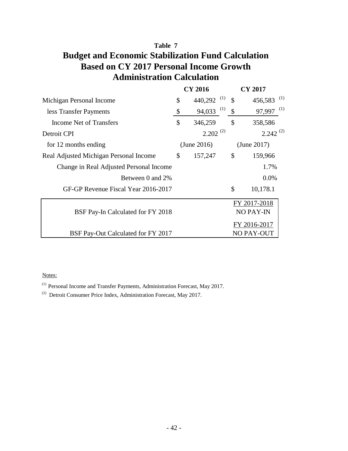# **Table 7 Budget and Economic Stabilization Fund Calculation Based on CY 2017 Personal Income Growth Administration Calculation**

|                                         |                           | <b>CY 2016</b> | <b>CY 2017</b>       |
|-----------------------------------------|---------------------------|----------------|----------------------|
| Michigan Personal Income                | \$                        | (1)<br>440,292 | \$<br>(1)<br>456,583 |
| less Transfer Payments                  | $\boldsymbol{\mathsf{S}}$ | (1)<br>94,033  | \$<br>(1)<br>97,997  |
| Income Net of Transfers                 | \$                        | 346,259        | \$<br>358,586        |
| Detroit CPI                             |                           | $2.202^{(2)}$  | $2.242^{(2)}$        |
| for 12 months ending                    |                           | (June 2016)    | (June 2017)          |
| Real Adjusted Michigan Personal Income  | \$                        | 157,247        | \$<br>159,966        |
| Change in Real Adjusted Personal Income |                           |                | 1.7%                 |
| Between 0 and 2%                        |                           |                | 0.0%                 |
| GF-GP Revenue Fiscal Year 2016-2017     |                           |                | \$<br>10,178.1       |
|                                         |                           |                | FY 2017-2018         |
| BSF Pay-In Calculated for FY 2018       |                           |                | NO PAY-IN            |
|                                         |                           |                | FY 2016-2017         |
| BSF Pay-Out Calculated for FY 2017      |                           |                | NO PAY-OUT           |

#### Notes:

(1) Personal Income and Transfer Payments, Administration Forecast, May 2017.

(2) Detroit Consumer Price Index, Administration Forecast, May 2017.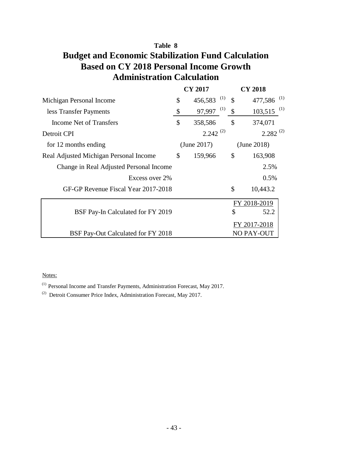# **Table 8 Budget and Economic Stabilization Fund Calculation Based on CY 2018 Personal Income Growth Administration Calculation**

|                                         |               | <b>CY 2017</b> |               | <b>CY 2018</b>    |
|-----------------------------------------|---------------|----------------|---------------|-------------------|
| Michigan Personal Income                | \$            | (1)<br>456,583 | $\mathcal{S}$ | (1)<br>477,586    |
| less Transfer Payments                  | \$            | (1)<br>97,997  | \$            | (1)<br>103,515    |
| Income Net of Transfers                 | \$            | 358,586        | \$            | 374,071           |
| Detroit CPI                             |               | $2.242^{(2)}$  |               | $2.282^{(2)}$     |
| for 12 months ending                    |               | (June 2017)    |               | (June 2018)       |
| Real Adjusted Michigan Personal Income  | $\mathcal{S}$ | 159,966        | \$            | 163,908           |
| Change in Real Adjusted Personal Income |               |                |               | 2.5%              |
| Excess over 2%                          |               |                |               | 0.5%              |
| GF-GP Revenue Fiscal Year 2017-2018     |               |                | \$            | 10,443.2          |
|                                         |               |                |               | FY 2018-2019      |
| BSF Pay-In Calculated for FY 2019       |               |                | \$            | 52.2              |
|                                         |               |                |               | FY 2017-2018      |
| BSF Pay-Out Calculated for FY 2018      |               |                |               | <b>NO PAY-OUT</b> |

#### Notes:

(1) Personal Income and Transfer Payments, Administration Forecast, May 2017.

(2) Detroit Consumer Price Index, Administration Forecast, May 2017.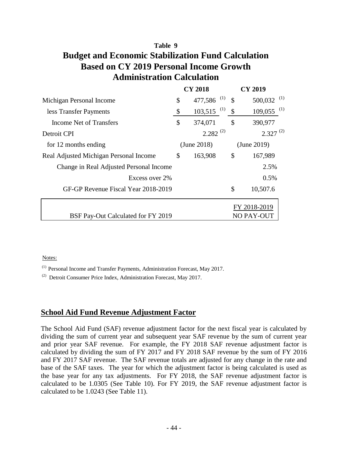# **Table 9 Budget and Economic Stabilization Fund Calculation Based on CY 2019 Personal Income Growth Administration Calculation**

|                                         | <b>CY 2018</b> |                          | <b>CY 2019</b> |                |
|-----------------------------------------|----------------|--------------------------|----------------|----------------|
| Michigan Personal Income                | \$             | (1)<br>477,586           | $\mathcal{S}$  | (1)<br>500,032 |
| less Transfer Payments                  | \$             | $103,515$ <sup>(1)</sup> | \$             | (1)<br>109,055 |
| <b>Income Net of Transfers</b>          | \$             | 374,071                  | \$             | 390,977        |
| Detroit CPI                             |                | $2.282^{(2)}$            |                | $2.327^{(2)}$  |
| for 12 months ending                    |                | (June 2018)              |                | (June 2019)    |
| Real Adjusted Michigan Personal Income  |                | 163,908                  | \$             | 167,989        |
| Change in Real Adjusted Personal Income |                |                          |                | 2.5%           |
| Excess over 2%                          |                |                          |                | $0.5\%$        |
| GF-GP Revenue Fiscal Year 2018-2019     |                |                          | \$             | 10,507.6       |
|                                         |                |                          |                | FY 2018-2019   |
| BSF Pay-Out Calculated for FY 2019      |                |                          |                | NO PAY-OUT     |

#### Notes:

(1) Personal Income and Transfer Payments, Administration Forecast, May 2017.

 $(2)$  Detroit Consumer Price Index, Administration Forecast, May 2017.

#### **School Aid Fund Revenue Adjustment Factor**

 The School Aid Fund (SAF) revenue adjustment factor for the next fiscal year is calculated by dividing the sum of current year and subsequent year SAF revenue by the sum of current year and prior year SAF revenue. For example, the FY 2018 SAF revenue adjustment factor is calculated by dividing the sum of FY 2017 and FY 2018 SAF revenue by the sum of FY 2016 and FY 2017 SAF revenue. The SAF revenue totals are adjusted for any change in the rate and base of the SAF taxes. The year for which the adjustment factor is being calculated is used as the base year for any tax adjustments. For FY 2018, the SAF revenue adjustment factor is calculated to be 1.0305 (See Table 10). For FY 2019, the SAF revenue adjustment factor is calculated to be 1.0243 (See Table 11).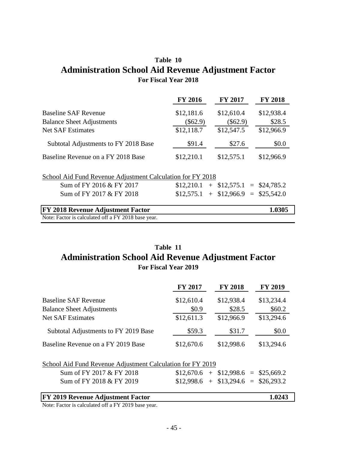# **Table 10 Administration School Aid Revenue Adjustment Factor**<br> **FY 2018**<br>
FY 2016 FY 2017 FY 2018 **For Fiscal Year 2018**

| 1 VI 1 150ai 10ai 2010                                     |                |                             |                |  |  |  |  |  |
|------------------------------------------------------------|----------------|-----------------------------|----------------|--|--|--|--|--|
|                                                            | <b>FY 2016</b> | <b>FY 2017</b>              | <b>FY 2018</b> |  |  |  |  |  |
| <b>Baseline SAF Revenue</b>                                | \$12,181.6     | \$12,610.4                  | \$12,938.4     |  |  |  |  |  |
| <b>Balance Sheet Adjustments</b>                           | $(\$62.9)$     | $(\$62.9)$                  | \$28.5         |  |  |  |  |  |
| <b>Net SAF Estimates</b>                                   | \$12,118.7     | \$12,547.5                  | \$12,966.9     |  |  |  |  |  |
| Subtotal Adjustments to FY 2018 Base                       | \$91.4         | \$27.6                      | \$0.0          |  |  |  |  |  |
| Baseline Revenue on a FY 2018 Base                         | \$12,210.1     | \$12,575.1                  | \$12,966.9     |  |  |  |  |  |
| School Aid Fund Revenue Adjustment Calculation for FY 2018 |                |                             |                |  |  |  |  |  |
| Sum of FY 2016 & FY 2017                                   | \$12,210.1     | $+$ \$12,575.1 = \$24,785.2 |                |  |  |  |  |  |
| Sum of FY 2017 & FY 2018                                   | \$12,575.1     | $+$ \$12,966.9 = \$25,542.0 |                |  |  |  |  |  |
| <b>FY 2018 Revenue Adjustment Factor</b>                   |                |                             | 1.0305         |  |  |  |  |  |
| Note: Factor is calculated off a FY 2018 base year.        |                |                             |                |  |  |  |  |  |

# **Table 11 Administration School Aid Revenue Adjustment Factor**<br> **FOR Fiscal Year 2019**<br>
<u>FY 2017 FY 2018</u> FY 2019 **For Fiscal Year 2019**

|                                                            | 1 01 1 150ai 10ai 2012 |                |                             |
|------------------------------------------------------------|------------------------|----------------|-----------------------------|
|                                                            | <b>FY 2017</b>         | <b>FY 2018</b> | <b>FY 2019</b>              |
| <b>Baseline SAF Revenue</b>                                | \$12,610.4             | \$12,938.4     | \$13,234.4                  |
| <b>Balance Sheet Adjustments</b>                           | \$0.9\$                | \$28.5         | \$60.2\$                    |
| <b>Net SAF Estimates</b>                                   | \$12,611.3             | \$12,966.9     | \$13,294.6                  |
| Subtotal Adjustments to FY 2019 Base                       | \$59.3                 | \$31.7         | \$0.0                       |
| Baseline Revenue on a FY 2019 Base                         | \$12,670.6             | \$12,998.6     | \$13,294.6                  |
| School Aid Fund Revenue Adjustment Calculation for FY 2019 |                        |                |                             |
| Sum of FY 2017 & FY 2018                                   | \$12,670.6             |                | $+$ \$12,998.6 = \$25,669.2 |
| Sum of FY 2018 & FY 2019                                   | \$12,998.6             | $+$            | $$13,294.6 = $26,293.2$     |
| FY 2019 Revenue Adjustment Factor                          |                        |                | 1.0243                      |

Note: Factor is calculated off a FY 2019 base year.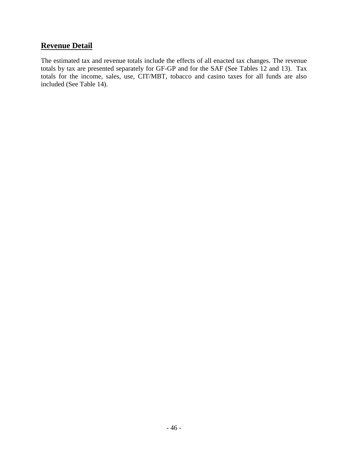## **Revenue Detail**

 The estimated tax and revenue totals include the effects of all enacted tax changes. The revenue totals by tax are presented separately for GF-GP and for the SAF (See Tables 12 and 13). Tax totals for the income, sales, use, CIT/MBT, tobacco and casino taxes for all funds are also included (See Table 14).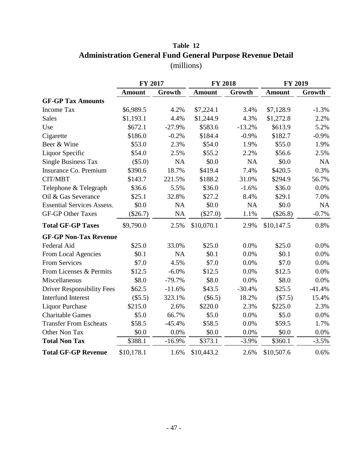# **Table 12 Administration General Fund General Purpose Revenue Detail** (millions)

|                                   | <b>FY 2017</b> |           | <b>FY 2018</b> |           | <b>FY 2019</b> |           |
|-----------------------------------|----------------|-----------|----------------|-----------|----------------|-----------|
|                                   | <b>Amount</b>  | Growth    | <b>Amount</b>  | Growth    | <b>Amount</b>  | Growth    |
| <b>GF-GP Tax Amounts</b>          |                |           |                |           |                |           |
| Income Tax                        | \$6,989.5      | 4.2%      | \$7,224.1      | 3.4%      | \$7,128.9      | $-1.3%$   |
| <b>Sales</b>                      | \$1,193.1      | 4.4%      | \$1,244.9      | 4.3%      | \$1,272.8      | 2.2%      |
| Use                               | \$672.1        | $-27.9%$  | \$583.6        | $-13.2%$  | \$613.9        | 5.2%      |
| Cigarette                         | \$186.0        | $-0.2%$   | \$184.4        | $-0.9\%$  | \$182.7        | $-0.9%$   |
| Beer & Wine                       | \$53.0         | 2.3%      | \$54.0         | 1.9%      | \$55.0         | 1.9%      |
| Liquor Specific                   | \$54.0         | 2.5%      | \$55.2         | 2.2%      | \$56.6         | 2.5%      |
| <b>Single Business Tax</b>        | (\$5.0)        | NA        | \$0.0          | NA        | \$0.0\$        | <b>NA</b> |
| Insurance Co. Premium             | \$390.6        | 18.7%     | \$419.4        | 7.4%      | \$420.5        | 0.3%      |
| CIT/MBT                           | \$143.7        | 221.5%    | \$188.2        | 31.0%     | \$294.9        | 56.7%     |
| Telephone & Telegraph             | \$36.6         | 5.5%      | \$36.0         | $-1.6%$   | \$36.0         | 0.0%      |
| Oil & Gas Severance               | \$25.1         | 32.8%     | \$27.2         | 8.4%      | \$29.1         | 7.0%      |
| <b>Essential Services Assess.</b> | \$0.0          | <b>NA</b> | \$0.0          | <b>NA</b> | \$0.0          | <b>NA</b> |
| <b>GF-GP Other Taxes</b>          | $(\$26.7)$     | <b>NA</b> | $(\$27.0)$     | 1.1%      | $(\$26.8)$     | $-0.7%$   |
| <b>Total GF-GP Taxes</b>          | \$9,790.0      | 2.5%      | \$10,070.1     | 2.9%      | \$10,147.5     | 0.8%      |
| <b>GF-GP Non-Tax Revenue</b>      |                |           |                |           |                |           |
| Federal Aid                       | \$25.0         | 33.0%     | \$25.0         | 0.0%      | \$25.0         | 0.0%      |
| From Local Agencies               | \$0.1          | NA        | \$0.1          | 0.0%      | \$0.1          | 0.0%      |
| <b>From Services</b>              | \$7.0          | 4.5%      | \$7.0          | 0.0%      | \$7.0          | 0.0%      |
| From Licenses & Permits           | \$12.5         | $-6.0\%$  | \$12.5         | 0.0%      | \$12.5         | 0.0%      |
| Miscellaneous                     | \$8.0          | $-79.7%$  | \$8.0          | 0.0%      | \$8.0          | 0.0%      |
| <b>Driver Responsibility Fees</b> | \$62.5         | $-11.6%$  | \$43.5         | $-30.4%$  | \$25.5         | $-41.4%$  |
| <b>Interfund Interest</b>         | (\$5.5)        | 323.1%    | $(\$6.5)$      | 18.2%     | (\$7.5)        | 15.4%     |
| <b>Liquor Purchase</b>            | \$215.0        | 2.6%      | \$220.0        | 2.3%      | \$225.0        | 2.3%      |
| <b>Charitable Games</b>           | \$5.0          | 66.7%     | \$5.0          | 0.0%      | \$5.0          | 0.0%      |
| <b>Transfer From Escheats</b>     | \$58.5         | $-45.4%$  | \$58.5         | 0.0%      | \$59.5         | 1.7%      |
| Other Non Tax                     | \$0.0          | 0.0%      | \$0.0          | 0.0%      | \$0.0          | 0.0%      |
| <b>Total Non Tax</b>              | \$388.1        | $-16.9%$  | \$373.1        | $-3.9%$   | \$360.1        | $-3.5%$   |
| <b>Total GF-GP Revenue</b>        | \$10,178.1     | 1.6%      | \$10,443.2     | 2.6%      | \$10,507.6     | 0.6%      |